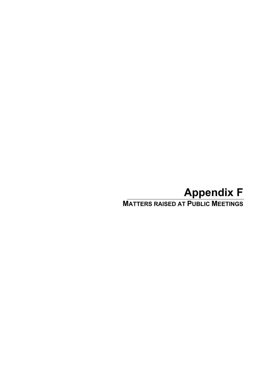# **Appendix F**

**MATTERS RAISED AT PUBLIC MEETINGS**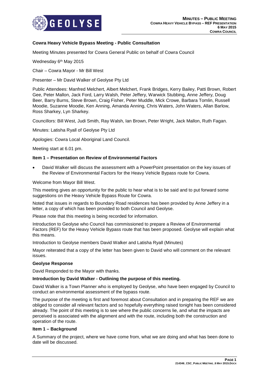

# **Cowra Heavy Vehicle Bypass Meeting - Public Consultation**

Meeting Minutes presented for Cowra General Public on behalf of Cowra Council

Wednesday 6<sup>th</sup> May 2015

Chair – Cowra Mayor - Mr Bill West

Presenter – Mr David Walker of Geolyse Pty Ltd

Public Attendees: Manfred Melchert, Albert Melchert, Frank Bridges, Kerry Bailey, Patti Brown, Robert Gee, Peter Mallon, Jack Ford, Larry Walsh, Peter Jeffery, Warwick Stubbing, Anne Jeffery, Doug Beer, Barry Burns, Steve Brown, Craig Fisher, Peter Muddle, Mick Crowe, Barbara Tomlin, Russell Moodie, Suzanne Moodie, Ken Anning, Amanda Anning, Chris Waters, John Waters, Allan Barlow, Ross Sharkey, Lyn Sharkey.

Councillors: Bill West, Judi Smith, Ray Walsh, Ian Brown, Peter Wright, Jack Mallon, Ruth Fagan.

Minutes: Latisha Ryall of Geolyse Pty Ltd

Apologies: Cowra Local Aboriginal Land Council.

Meeting start at 6.01 pm.

#### **Item 1 – Presentation on Review of Environmental Factors**

• David Walker will discuss the assessment with a PowerPoint presentation on the key issues of the Review of Environmental Factors for the Heavy Vehicle Bypass route for Cowra.

Welcome from Mayor Bill West.

This meeting gives an opportunity for the public to hear what is to be said and to put forward some suggestions on the Heavy Vehicle Bypass Route for Cowra.

Noted that issues in regards to Boundary Road residences has been provided by Anne Jeffery in a letter, a copy of which has been provided to both Council and Geolyse.

Please note that this meeting is being recorded for information.

Introduction to Geolyse who Council has commissioned to prepare a Review of Environmental Factors (REF) for the Heavy Vehicle Bypass route that has been proposed. Geolyse will explain what this means.

Introduction to Geolyse members David Walker and Latisha Ryall (Minutes)

Mayor reiterated that a copy of the letter has been given to David who will comment on the relevant issues.

#### **Geolyse Response**

David Responded to the Mayor with thanks.

#### **Introduction by David Walker - Outlining the purpose of this meeting.**

David Walker is a Town Planner who is employed by Geolyse, who have been engaged by Council to conduct an environmental assessment of the bypass route.

The purpose of the meeting is first and foremost about Consultation and in preparing the REF we are obliged to consider all relevant factors and so hopefully everything raised tonight has been considered already. The point of this meeting is to see where the public concerns lie, and what the impacts are perceived is associated with the alignment and with the route, including both the construction and operation of the route.

#### **Item 1 – Background**

A Summary of the project, where we have come from, what we are doing and what has been done to date will be discussed.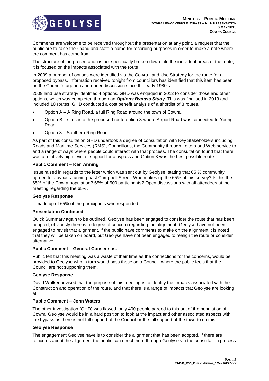

Comments are welcome to be received throughout the presentation at any point, a request that the public are to raise their hand and state a name for recording purposes in order to make a note where the comment has come from.

The structure of the presentation is not specifically broken down into the individual areas of the route, it is focused on the impacts associated with the route

In 2009 a number of options were identified via the Cowra Land Use Strategy for the route for a proposed bypass. Information received tonight from councillors has identified that this item has been on the Council's agenda and under discussion since the early 1980's.

2009 land use strategy identified 4 options. GHD was engaged in 2012 to consider those and other options, which was completed through an *Options Bypass Study*. This was finalised in 2013 and included 10 routes. GHD conducted a cost benefit analysis of a shortlist of 3 routes.

- Option A A Ring Road, a full Ring Road around the town of Cowra.
- Option B similar to the proposed route option 3 where Airport Road was connected to Young Road.
- Option 3 Southern Ring Road.

As part of this consultation GHD undertook a degree of consultation with Key Stakeholders including Roads and Maritime Services (RMS), Councillor's, the Community through Letters and Web service to and a range of ways where people could interact with that process. The consultation found that there was a relatively high level of support for a bypass and Option 3 was the best possible route.

# **Public Comment – Ken Anning**

Issue raised in regards to the letter which was sent out by Geolyse, stating that 65 % community agreed to a bypass running past Campbell Street. Who makes up the 65% of this survey? Is this the 65% of the Cowra population? 65% of 500 participants? Open discussions with all attendees at the meeting regarding the 65%.

#### **Geolyse Response**

It made up of 65% of the participants who responded.

#### **Presentation Continued**

Quick Summary again to be outlined. Geolyse has been engaged to consider the route that has been adopted, obviously there is a degree of concern regarding the alignment, Geolyse have not been engaged to revisit that alignment. If the public have comments to make on the alignment it is noted that they will be taken on board, but Geolyse have not been engaged to realign the route or consider alternative.

#### **Public Comment – General Consensus.**

Public felt that this meeting was a waste of their time as the connections for the concerns, would be provided to Geolyse who in turn would pass these onto Council, where the public feels that the Council are not supporting them.

#### **Geolyse Response**

David Walker advised that the purpose of this meeting is to identify the impacts associated with the Construction and operation of the route, and that there is a range of impacts that Geolyse are looking at.

#### **Public Comment – John Waters**

The other investigation (GHD) was flawed, only 400 people agreed to this out of the population of Cowra. Geolyse would be in a hard position to look at the impact and other associated aspects with the bypass as there is not full support of the Council or the full support of the town to do this. .

#### **Geolyse Response**

The engagement Geolyse have is to consider the alignment that has been adopted, if there are concerns about the alignment the public can direct them through Geolyse via the consultation process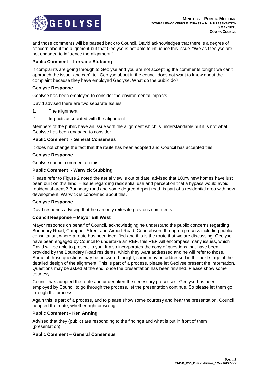

and those comments will be passed back to Council. David acknowledges that there is a degree of concern about the alignment but that Geolyse is not able to influence this issue. "We as Geolyse are not engaged to influence the alignment."

# **Public Comment – Lorraine Stubbing**

If complaints are going through to Geolyse and you are not accepting the comments tonight we can't approach the issue, and can't tell Geolyse about it, the council does not want to know about the complaint because they have employed Geolyse. What do the public do?

#### **Geolyse Response**

Geolyse has been employed to consider the environmental impacts.

David advised there are two separate Issues.

- 1. The alignment
- 2. Impacts associated with the alignment.

Members of the public have an issue with the alignment which is understandable but it is not what Geolyse has been engaged to consider.

#### **Public Comment - General Consensus**

It does not change the fact that the route has been adopted and Council has accepted this.

#### **Geolyse Response**

Geolyse cannot comment on this.

# **Public Comment - Warwick Stubbing**

Please refer to Figure 2 noted the aerial view is out of date, advised that 100% new homes have just been built on this land. – Issue regarding residential use and perception that a bypass would avoid residential areas? Boundary road and some degree Airport road, is part of a residential area with new development, Warwick is concerned about this.

#### **Geolyse Response**

Davd responds advising that he can only reiterate previous comments.

#### **Council Response – Mayor Bill West**

Mayor responds on behalf of Council, acknowledging he understand the public concerns regarding Boundary Road, Campbell Street and Airport Road. Council went through a process including public consultation, where a route has been identified and this is the route that we are discussing. Geolyse have been engaged by Council to undertake an REF, this REF will encompass many issues, which David will be able to present to you. It also incorporates the copy of questions that have been provided by the Boundary Road residents, which they want addressed and he will refer to those. Some of those questions may be answered tonight, some may be addressed in the next stage of the detailed design of the alignment. This is part of a process, please let Geolyse present the information. Questions may be asked at the end, once the presentation has been finished. Please show some courtesy.

Council has adopted the route and undertaken the necessary processes. Geolyse has been employed by Council to go through the process, let the presentation continue. So please let them go through the process.

Again this is part of a process, and to please show some courtesy and hear the presentation. Council adopted the route, whether right or wrong

#### **Public Comment - Ken Anning**

Advised that they (public) are responding to the findings and what is put in front of them (presentation).

# **Public Comment – General Consensus**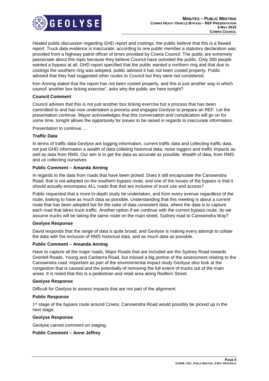

Heated public discussion regarding GHD report and costings, the public believe that this is a flawed report. Truck data evidence is inaccurate; according to one public member a statutory declaration was provided from a highway patrol officer of times provided by Cowra Council. The public are extremely passionate about this topic because they believe Council have outvoted the public. Only 300 people wanted a bypass at all. GHD report specified that the public wanted a northern ring and that due to costings the southern ring was adopted, public advised it has not been costed property. Public advised that they had suggested other routes to Council but they were not considered.

Ken Anning stated that the report has not been costed properly, and this is just another way in which council 'another box ticking exercise", asks why the public are here tonight?

# **Council Comment**

Council advises that this is not just another box ticking exercise but a process that has been committed to and has now undertaken a process and engaged Geolyse to prepare an REF. Let the presentation continue. Mayor acknowledges that this conversation and complication will go on for some time, tonight allows the opportunity for issues to be raised in regards to inaccurate information.

Presentation to continue….

#### **Traffic Data**

In terms of traffic data Geolyse are logging information, current traffic data and collecting traffic data, not just GHD information a wealth of data collating historical data, noise loggers and traffic impacts as well as data from RMS. Our aim is to get the data as accurate as possible. Wealth of data, from RMS and us collecting ourselves

#### **Public Comment – Amanda Anning**

In regards to the data from roads that have been picked. Does it still encapsulate the Canowindra Road, that is not adopted on the southern bypass route, and one of the issues of the bypass is that it should actually encompass ALL roads that that are inclusive of truck use and access?

Public requested that a more in-depth study be undertaken, and from every avenue regardless of the route, looking to have as much data as possible. Understanding that this meeting is about a current route that has been adopted but for the sake of data consistent data, where the data is to capture each road that takes truck traffic. Another option if we continue with the current bypass route, do we assume trucks will be taking the same route on the main street, Sydney road to Canowindra Way?

#### **Geolyse Response**

David responds that the range of data is quite broad, and Geolyse is making every attempt to collate the data with the inclusion of RMS historical data, and as much data as possible.

#### **Public Comment – Amanda Anning**

Have to capture all the major roads, Major Roads that are included are the Sydney Road towards Grenfell Roads, Young and Canberra Road, but missed a big portion of the assessment relating to the Canowindra road. Important as part of the environmental impact study Geolyse also look at the congestion that is caused and the potentially of removing the full extent of trucks out of the main areas. It is noted that this is a pedestrian and retail area along Redfern Street.

#### **Geolyse Response**

Difficult for Geolyse to assess impacts that are not part of the alignment.

#### **Public Response**

1<sup>st</sup> stage of the bypass route around Cowra. Canowindra Road would possibly be picked up in the next stage.

#### **Geolyse Response**

Geolyse cannot comment on staging.

# **Public Comment – Anne Jeffrey**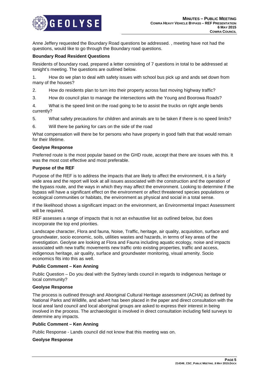

Anne Jeffery requested the Boundary Road questions be addressed. , meeting have not had the questions, would like to go through the Boundary road questions.

#### **Boundary Road Resident Questions**

Residents of boundary road, prepared a letter consisting of 7 questions in total to be addressed at tonight's meeting. The questions are outlined below.

1. How do we plan to deal with safety issues with school bus pick up and ands set down from many of the houses?

- 2. How do residents plan to turn into their property across fast moving highway traffic?
- 3. How do council plan to manage the intersections with the Young and Boorowa Roads?

4. What is the speed limit on the road going to be to assist the trucks on right angle bends currently?

- 5. What safety precautions for children and animals are to be taken if there is no speed limits?
- 6. Will there be parking for cars on the side of the road

What compensation will there be for persons who have property in good faith that that would remain for their lifetime.

#### **Geolyse Response**

Preferred route is the most popular based on the GHD route, accept that there are issues with this. It was the most cost effective and most preferable.

#### **Purpose of the REF**

Purpose of the REF is to address the impacts that are likely to affect the environment, it is a fairly wide area and the report will look at all issues associated with the construction and the operation of the bypass route, and the ways in which they may affect the environment. Looking to determine if the bypass will have a significant effect on the environment or affect threatened species populations or ecological communities or habitats, the environment as physical and social in a total sense.

If the likelihood shows a significant impact on the environment, an Environmental Impact Assessment will be required.

REF assesses a range of impacts that is not an exhaustive list as outlined below, but does incorporate the top end priorities.

Landscape character, Flora and fauna, Noise, Traffic, heritage, air quality, acquisition, surface and groundwater, socio economic, soils, utilities wastes and hazards, in terms of key areas of the investigation. Geolyse are looking at Flora and Fauna including aquatic ecology, noise and impacts associated with new traffic movements new traffic onto existing properties, traffic and access, indigenous heritage, air quality, surface and groundwater monitoring, visual amenity. Socio economics fits into this as well.

#### **Public Comment – Ken Anning**

Public Question – Do you deal with the Sydney lands council in regards to indigenous heritage or local community?

#### **Geolyse Response**

The process is outlined through and Aboriginal Cultural Heritage assessment (ACHA) as defined by National Parks and Wildlife, and advert has been placed in the paper and direct consultation with the local areal land council and local aboriginal groups are asked to express their interest in being involved in the process. The archaeologist is involved in direct consultation including field surveys to determine any impacts.

#### **Public Comment – Ken Anning**

Public Response - Lands council did not know that this meeting was on.

#### **Geolyse Response**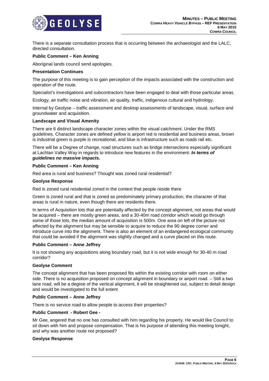

There is a separate consultation process that is occurring between the archaeologist and the LALC, directed consultation.

# **Public Comment – Ken Anning**

Aboriginal lands council send apologies.

#### **Presentation Continues**

The purpose of this meeting is to gain perception of the impacts associated with the construction and operation of the route.

Specialist's investigations and subcontractors have been engaged to deal with those particular areas.

Ecology, air traffic noise and vibration, air quality, traffic, indigenous cultural and hydrology.

Internal by Geolyse – traffic assessment and desktop assessments of landscape, visual, surface and groundwater and acquisition.

#### **Landscape and Visual Amenity**

There are 6 distinct landscape character zones within the visual catchment. Under the RMS guidelines. Character zones are defined yellow is airport red is residential and business areas, brown is industrial green is purple is recreational, and blue is infrastructure such as roads rail etc.

There will be a Degree of change, road structures such as bridge intersections especially significant at Lachlan Valley Way in regards to introduce new features in the environment. *In terms of guidelines no massive impacts.* 

#### **Public Comment – Ken Anning**

Red area is rural and business? Thought was zoned rural residential?

#### **Geolyse Response**

Red is zoned rural residential zoned in the context that people reside there

Green is zoned rural and that is zoned as predominately primary production, the character of that areas is rural in nature, even though there are residents there.

In terms of Acquisition lots that are potentially affected by the concept alignment, not areas that would be acquired – there are mostly green areas, and a 30-40m road corridor which would go through some of those lots, the median amount of acquisition is 500m. One area on left of the picture not affected by the alignment but may be sensible to acquire to reduce the 90 degree corner and introduce curve into the alignment. There is also an element of an endangered ecological community that could be avoided if the alignment was slightly changed and a curve placed on this route.

#### **Public Comment – Anne Jeffrey**

It is not showing any acquisitions along boundary road, but it is not wide enough for 30-40 m road corridor?

#### **Geolyse Comment**

The concept alignment that has been proposed fits within the existing corridor with room on either side. There is no acquisition proposed on concept alignment in boundary or airport road. – Still a two lane road, will be a degree of the vertical alignment, it will be straightened out, subject to detail design and would be investigated to the full extent

#### **Public Comment – Anne Jeffrey**

There is no service road to allow people to access their properties?

#### **Public Comment - Robert Gee -**

Mr Gee, angered that no one has consulted with him regarding his property. He would like Council to sit down with him and propose compensation. That is his purpose of attending this meeting tonight, and why was another route not proposed?

#### **Geolyse Response**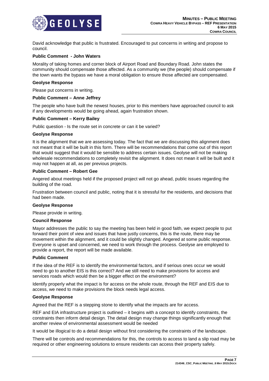

David acknowledge that public is frustrated. Encouraged to put concerns in writing and propose to council.

#### **Public Comment - John Waters**

Morality of taking homes and corner block of Airport Road and Boundary Road. John states the community should compensate those affected. As a community we (the people) should compensate if the town wants the bypass we have a moral obligation to ensure those affected are compensated.

#### **Geolyse Response**

Please put concerns in writing.

#### **Public Comment – Anne Jeffrey**

The people who have built the newest houses, prior to this members have approached council to ask if any developments would be going ahead, again frustration shown.

#### **Public Comment – Kerry Bailey**

Public question - Is the route set in concrete or can it be varied?

#### **Geolyse Response**

It is the alignment that we are assessing today. The fact that we are discussing this alignment does not meant that it will be built in this form. There will be recommendations that come out of this report that would suggest that it would be sensible to address certain issues. Geolyse will not be making wholesale recommendations to completely revisit the alignment. It does not mean it will be built and it may not happen at all, as per previous projects.

#### **Public Comment – Robert Gee**

Angered about meetings held if the proposed project will not go ahead, public issues regarding the building of the road.

Frustration between council and public, noting that it is stressful for the residents, and decisions that had been made.

#### **Geolyse Response**

Please provide in writing.

#### **Council Response**

Mayor addresses the public to say the meeting has been held in good faith, we expect people to put forward their point of view and issues that have justly concerns, this is the route, there may be movement within the alignment, and it could be slightly changed. Angered at some public response. Everyone is upset and concerned, we need to work through the process. Geolyse are employed to provide a report, the report will be made available.

#### **Public Comment**

If the idea of the REF is to identify the environmental factors, and if serious ones occur we would need to go to another EIS is this correct? And we still need to make provisions for access and services roads which would then be a bigger effect on the environment?

Identify properly what the impact is for access on the whole route, through the REF and EIS due to access, we need to make provisions the block needs legal access.

#### **Geolyse Response**

Agreed that the REF is a stepping stone to identify what the impacts are for access.

REF and EIA infrastructure project is outlined – it begins with a concept to identify constraints, the constraints then inform detail design. The detail design may change things significantly enough that another review of environmental assessment would be needed

It would be illogical to do a detail design without first considering the constraints of the landscape.

There will be controls and recommendations for this, the controls to access to land a slip road may be required or other engineering solutions to ensure residents can access their property safely.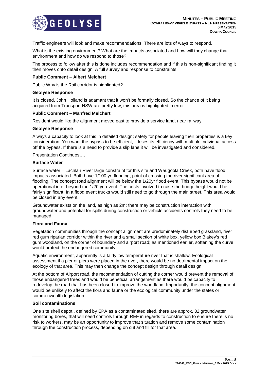

Traffic engineers will look and make recommendations. There are lots of ways to respond.

What is the existing environment? What are the impacts associated and how will they change that environment and how do we respond to those?

The process to follow after this is done includes recommendation and if this is non-significant finding it then moves onto detail design. A full survey and response to constraints.

#### **Public Comment – Albert Melchert**

Public Why is the Rail corridor is highlighted?

#### **Geolyse Response**

It is closed, John Holland is adamant that it won't be formally closed. So the chance of it being acquired from Transport NSW are pretty low, this area is highlighted in error.

#### **Public Comment – Manfred Melchert**

Resident would like the alignment moved east to provide a service land, near railway.

#### **Geolyse Response**

Always a capacity to look at this in detailed design; safety for people leaving their properties is a key consideration. You want the bypass to be efficient, it loses its efficiency with multiple individual access off the bypass. If there is a need to provide a slip lane it will be investigated and considered.

Presentation Continues….

#### **Surface Water**

Surface water – Lachlan River large constraint for this site and Waugoola Creek, both have flood impacts associated. Both have 1/100 yr. flooding, point of crossing the river significant area of flooding. The concept road alignment will be below the 1/20yr flood event. This bypass would not be operational in or beyond the 1/20 yr. event. The costs involved to raise the bridge height would be fairly significant. In a flood event trucks would still need to go through the main street. This area would be closed in any event.

Groundwater exists on the land, as high as 2m; there may be construction interaction with groundwater and potential for spills during construction or vehicle accidents controls they need to be managed,

## **Flora and Fauna**

Vegetation communities through the concept alignment are predominately disturbed grassland, river red gum riparian corridor within the river and a small section of white box, yellow box Blakey's red gum woodland, on the corner of boundary and airport road; as mentioned earlier, softening the curve would protect the endangered community.

Aquatic environment, apparently is a fairly low temperature river that is shallow. Ecological assessment if a pier or piers were placed in the river, there would be no detrimental impact on the ecology of that area. This may then change the concept design through detail design.

At the bottom of Airport road, the recommendation of cutting the corner would prevent the removal of those endangered trees and would be beneficial arrangement as there would be capacity to redevelop the road that has been closed to improve the woodland. Importantly, the concept alignment would be unlikely to affect the flora and fauna or the ecological community under the states or commonwealth legislation.

#### **Soil contaminations**

One site shell depot , defined by EPA as a contaminated sited, there are approx. 32 groundwater monitoring bores, that will need controls through REF in regards to construction to ensure there is no risk to workers, may be an opportunity to improve that situation and remove some contamination through the construction process, depending on cut and fill for that area.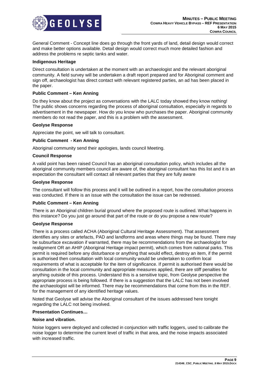

General Comment - Concept line does go through the front yards of land, detail design would correct and make better options available. Detail design would correct much more detailed fashion and address the problems re septic tanks and water.

# **Indigenous Heritage**

Direct consultation is undertaken at the moment with an archaeologist and the relevant aboriginal community. A field survey will be undertaken a draft report prepared and for Aboriginal comment and sign off, archaeologist has direct contact with relevant registered parties, an ad has been placed in the paper.

# **Public Comment – Ken Anning**

Do they know about the project as conversations with the LALC today showed they know nothing! The public shows concerns regarding the process of aboriginal consultation, especially in regards to advertisement in the newspaper. How do you know who purchases the paper. Aboriginal community members do not read the paper, and this is a problem with the assessment.

#### **Geolyse Response**

Appreciate the point, we will talk to consultant.

# **Public Comment - Ken Anning**

Aboriginal community send their apologies, lands council Meeting.

# **Council Response**

A valid point has been raised Council has an aboriginal consultation policy, which includes all the aboriginal community members council are aware of, the aboriginal consultant has this list and it is an expectation the consultant will contact all relevant parties that they are fully aware

#### **Geolyse Response**

The consultant will follow this process and it will be outlined in a report, how the consultation process was conducted. If there is an issue with the consultation the issue can be redressed.

# **Public Comment – Ken Anning**

There is an Aboriginal children burial ground where the proposed route is outlined. What happens in this instance? Do you just go around that part of the route or do you propose a new route?

#### **Geolyse Response**

There is a process called ACHA (Aboriginal Cultural Heritage Assessment). That assessment identifies any sites or artefacts, PAD and landforms and areas where things may be found. There may be subsurface excavation if warranted, there may be recommendations from the archaeologist for realignment OR an AHIP (Aboriginal Heritage impact permit), which comes from national parks. This permit is required before any disturbance or anything that would effect, destroy an item, if the permit is authorised then consultation with local community would be undertaken to confirm local requirements of what is acceptable for the item of significance. If permit is authorised there would be consultation in the local community and appropriate measures applied, there are stiff penalties for anything outside of this process. Understand this is a sensitive topic, from Geolyse perspective the appropriate process is being followed. If there is a suggestion that the LALC has not been involved the archaeologist will be informed. There may be recommendations that come from this in the REF. for the management of any identified heritage values.

Noted that Geolyse will advise the Aboriginal consultant of the issues addressed here tonight regarding the LALC not being involved.

#### **Presentation Continues…**

#### **Noise and vibration.**

Noise loggers were deployed and collected in conjunction with traffic loggers, used to calibrate the noise logger to determine the current level of traffic in that area, and the noise impacts associated with increased traffic.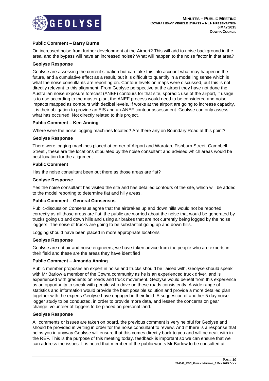

# **Public Comment – Barry Burns**

On increased noise from further development at the Airport? This will add to noise background in the area, and the bypass will have an increased noise? What will happen to the noise factor in that area?

#### **Geolyse Response**

Geolyse are assessing the current situation but can take this into account what may happen in the future, and a cumulative effect as a result, but it is difficult to quantify in a modelling sense which is what the noise consultants are reporting on. Contour levels on maps were discussed, but this is not directly relevant to this alignment. From Geolyse perspective at the airport they have not done the Australian noise exposure forecast (ANEF) contours for that site, sporadic use of the airport, if usage is to rise according to the master plan, the ANEF process would need to be considered and noise impacts mapped as contours with decibel levels. If works at the airport are going to increase capacity, it is their obligation to provide an EIS and an ANEF contour assessment. Geolyse can only assess what has occurred. Not directly related to this project.

# **Public Comment – Ken Anning**

Where were the noise logging machines located? Are there any on Boundary Road at this point?

#### **Geolyse Response**

There were logging machines placed at corner of Airport and Waratah, Fishburn Street, Campbell Street , these are the locations stipulated by the noise consultant and advised which areas would be best location for the alignment.

#### **Public Comment**

Has the noise consultant been out there as those areas are flat?

# **Geolyse Response**

Yes the noise consultant has visited the site and has detailed contours of the site, which will be added to the model reporting to determine flat and hilly areas.

# **Public Comment – General Consensus**

Public-discussion Consensus agree that the airbrakes up and down hills would not be reported correctly as all those areas are flat, the public are worried about the noise that would be generated by trucks going up and down hills and using air brakes that are not currently being logged by the noise loggers. The noise of trucks are going to be substantial going up and down hills.

Logging should have been placed in more appropriate locations

# **Geolyse Response**

Geolyse are not air and noise engineers; we have taken advice from the people who are experts in their field and these are the areas they have identified

# **Public Comment – Amanda Anning**

Public member proposes an expert in noise and trucks should be liaised with, Geolyse should speak with Mr Barlow a member of the Cowra community as he is an experienced truck driver, and is experienced with gradients on roads and truck movement. Geolyse would benefit from this experience as an opportunity to speak with people who drive on these roads consistently. A wide range of statistics and information would provide the best possible solution and provide a more detailed plan together with the experts Geolyse have engaged in their field. A suggestion of another 5 day noise logger study to be conducted, in order to provide more data, and lessen the concerns on gear change, volunteer of loggers to be placed on personal land.

#### **Geolyse Response**

All comments or issues are taken on board, the previous comment is very helpful for Geolyse and should be provided in writing in order for the noise consultant to review. And if there is a response that helps you in anyway Geolyse will ensure that this comes directly back to you and will be dealt with in the REF. This is the purpose of this meeting today, feedback is important so we can ensure that we can address the issues. It is noted that member of the public wants Mr Barlow to be consulted at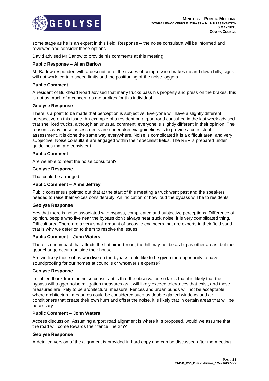

some stage as he is an expert in this field. Response – the noise consultant will be informed and reviewed and consider these options.

David advised Mr Barlow to provide his comments at this meeting.

# **Public Response – Allan Barlow**

Mr Barlow responded with a description of the issues of compression brakes up and down hills, signs will not work, certain speed limits and the positioning of the noise loggers.

#### **Public Comment**

A resident of Bulkhead Road advised that many trucks pass his property and press on the brakes, this is not as much of a concern as motorbikes for this individual.

#### **Geolyse Response**

There is a point to be made that perception is subjective. Everyone will have a slightly different perspective on this issue. An example of a resident on airport road consulted in the last week advised that she liked trucks, although an unusual comment, everyone is slightly different in their opinion. The reason is why these assessments are undertaken via guidelines is to provide a consistent assessment. It is done the same way everywhere. Noise is complicated it is a difficult area, and very subjective. Noise consultant are engaged within their specialist fields. The REF is prepared under guidelines that are consistent.

# **Public Comment**

Are we able to meet the noise consultant?

# **Geolyse Response**

That could be arranged.

# **Public Comment – Anne Jeffrey**

Public consensus pointed out that at the start of this meeting a truck went past and the speakers needed to raise their voices considerably. An indication of how loud the bypass will be to residents.

#### **Geolyse Response**

Yes that there is noise associated with bypass, complicated and subjective perceptions. Difference of opinion, people who live near the bypass don't always hear truck noise; it is very complicated thing. Difficult area There are a very small amount of acoustic engineers that are experts in their field sand that is why we defer on to them to resolve the issues.

#### **Public Comment – John Waters**

There is one impact that affects the flat airport road, the hill may not be as big as other areas, but the gear change occurs outside their house.

Are we likely those of us who live on the bypass route like to be given the opportunity to have soundproofing for our homes at councils or whoever's expense?

#### **Geolyse Response**

Initial feedback from the noise consultant is that the observation so far is that it is likely that the bypass will trigger noise mitigation measures as it will likely exceed tolerances that exist, and those measures are likely to be architectural measure. Fences and urban bunds will not be acceptable where architectural measures could be considered such as double glazed windows and air conditioners that create their own hum and offset the noise, it is likely that in certain areas that will be necessary.

#### **Public Comment – John Waters**

Access discussion. Assuming airport road alignment is where it is proposed, would we assume that the road will come towards their fence line 2m?

#### **Geolyse Response**

A detailed version of the alignment is provided in hard copy and can be discussed after the meeting.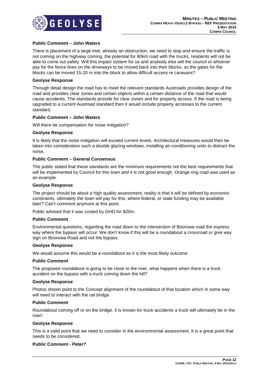

# **Public Comment – John Waters**

There is placement of a large tree, already an obstruction, we need to stop and ensure the traffic is not coming on the highway coming, the potential for 80km road with the trucks, residents will not be able to come out safely. Will this impact system for us and anybody else will the council or whoever pay for the fence lines on the driveways to be moved back into their blocks, so the gates for the blocks can be moved 15-20 m into the block to allow difficult access re caravans?

#### **Geolyse Response**

Through detail design the road has to meet the relevant standards Austroads provides design of the road and provides clear zones and certain objects within a certain distance of the road that would cause accidents. The standards provide for clear zones and for property access. If the road is being upgraded to a current Austroad standard then it would include property accesses to the current standard.

#### **Public Comment – John Waters**

Will there be compensation for noise mitigation?

#### **Geolyse Response**

It is likely that the noise mitigation will exceed current levels. Architectural measures would then be taken into consideration such a double glazing windows, installing air-conditioning units to distract the noise,

#### **Public Comment – General Consensus**

The public stated that these standards are the minimum requirements not the best requirements that will be implemented by Council for this town and it is not good enough. Orange ring road was used as an example.

#### **Geolyse Response**

The project should be about a high quality assessment, reality is that it will be defined by economic constraints, ultimately the town will pay for this, where federal, or state funding may be available later? Can't comment anymore at this point.

Public advised that it was costed by GHD for \$20m.

#### **Public Comment**

Environmental questions, regarding the road down to the intersection of Boorowa road the express way where the bypass will occur. We don't know if this will be a roundabout a crossroad or give way sign on Boorowa Road and not the bypass.

#### **Geolyse Response**

We would assume this would be a roundabout as it is the most likely outcome

#### **Public Comment**

The proposed roundabout is going to be close to the river, what happens when there is a truck accident on the bypass with a truck coming down the hill?

#### **Geolyse Response**

Photos shown point to the Concept alignment of the roundabout of that location which in some way will need to interact with the rail bridge.

#### **Public Comment**

Roundabout coming off or on the bridge, it is known for truck accidents a truck will ultimately be in the river!

#### **Geolyse Response**

This is a valid point that we need to consider in the environmental assessment. It is a great point that needs to be considered.

#### **Public Comment - Peter?**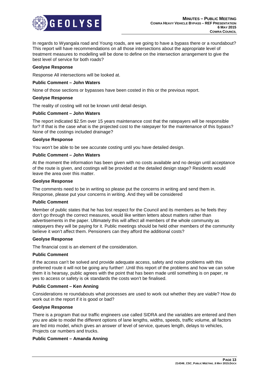

In regards to Wyangala road and Young roads, are we going to have a bypass there or a roundabout? This report will have recommendations on all those intersections about the appropriate level of treatment measures to modelling will be done to define on the intersection arrangement to give the best level of service for both roads?

# **Geolyse Response**

Response All intersections will be looked at.

#### **Public Comment – John Waters**

None of those sections or bypasses have been costed in this or the previous report.

#### **Geolyse Response**

The reality of costing will not be known until detail design.

#### **Public Comment – John Waters**

The report indicated \$2.5m over 15 years maintenance cost that the ratepayers will be responsible for? If that is the case what is the projected cost to the ratepayer for the maintenance of this bypass? None of the costings included drainage?

#### **Geolyse Response**

You won't be able to be see accurate costing until you have detailed design.

#### **Public Comment – John Waters**

At the moment the information has been given with no costs available and no design until acceptance of the route is given, and costings will be provided at the detailed design stage? Residents would leave the area over this matter.

#### **Geolyse Response**

The comments need to be in writing so please put the concerns in writing and send them in. Response, please put your concerns in writing. And they will be considered

#### **Public Comment**

Member of public states that he has lost respect for the Council and its members as he feels they don't go through the correct measures, would like written letters about matters rather than advertisements in the paper. Ultimately this will affect all members of the whole community as ratepayers they will be paying for it. Public meetings should be held other members of the community believe it won't affect them. Pensioners can they afford the additional costs?

#### **Geolyse Response**

The financial cost is an element of the consideration.

### **Public Comment**

If the access can't be solved and provide adequate access, safety and noise problems with this preferred route it will not be going any further! .Until this report of the problems and how we can solve them it is hearsay, public agrees with the point that has been made until something is on paper, re yes to access or safety is ok standards the costs won't be finalised.

#### **Public Comment – Ken Anning**

Considerations re roundabouts what processes are used to work out whether they are viable? How do work out in the report if it is good or bad?

#### **Geolyse Response**

There is a program that our traffic engineers use called SIDRA and the variables are entered and then you are able to model the different options of lane lengths, widths, speeds, traffic volume, all factors are fed into model, which gives an answer of level of service, queues length, delays to vehicles, Projects car numbers and trucks.

#### **Public Comment – Amanda Anning**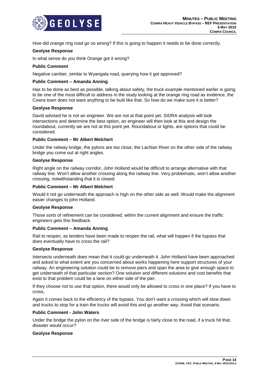

How did orange ring road go so wrong? If this is going to happen it needs to be done correctly.

# **Geolyse Response**

In what sense do you think Orange got it wrong?

#### **Public Comment**

Negative camber, similar to Wyangala road, querying how it got approved?

#### **Public Comment – Amanda Anning**

Has to be done as best as possible, talking about safety, the truck example mentioned earlier is going to be one of the most difficult to address in the study looking at the orange ring road as evidence, the Cowra town does not want anything to be built like that. So how do we make sure it is better?

#### **Geolyse Response**

David advised he is not an engineer. We are not at that point yet. SIDRA analysis will look intersections and determine the best option, an engineer will then look at this and design the roundabout, currently we are not at this point yet. Roundabout or lights, are options that could be considered.

#### **Public Comment – Mr Albert Melchert**

Under the railway bridge, the pylons are too close, the Lachlan River on the other side of the railway bridge you come out at right angles.

#### **Geolyse Response**

Right angle on the railway corridor, John Holland would be difficult to arrange alternative with that railway line. Won't allow another crossing along the railway line. Very problematic, won't allow another crossing, notwithstanding that it is closed.

#### **Public Comment – Mr Albert Melchert**

Would it not go underneath the approach is high on the other side as well. Would make the alignment easier changes to john Holland.

#### **Geolyse Response**

Those sorts of refinement can be considered, within the current alignment and ensure the traffic engineers gets this feedback.

#### **Public Comment – Amanda Anning**

Rail to reopen, as tenders have been made to reopen the rail, what will happen if the bypass that does eventually have to cross the rail?

#### **Geolyse Response**

Intersects underneath does mean that it could go underneath it. John Holland have been approached and asked to what extent are you concerned about works happening here support structures of your railway. An engineering solution could be to remove piers and span the area to give enough space to get underneath of that particular section? One solution and different solutions and cost benefits that exist to that problem could be a lane on either side of the pier.

If they choose not to use that option, there would only be allowed to cross in one place? If you have to cross,

Again it comes back to the efficiency of the bypass. You don't want a crossing which will slow down and trucks to stop for a train the trucks will avoid this and go another way. Avoid that scenario.

#### **Public Comment - John Waters**

Under the bridge the pylon on the river side of the bridge is fairly close to the road, if a truck hit that, disaster would occur?

#### **Geolyse Response**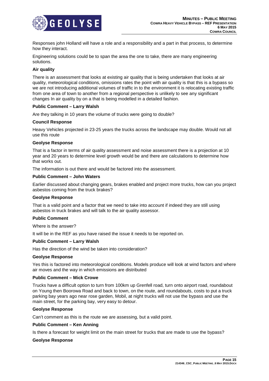

Responses john Holland will have a role and a responsibility and a part in that process, to determine how they interact.

Engineering solutions could be to span the area the one to take, there are many engineering solutions.

# **Air quality**

There is an assessment that looks at existing air quality that is being undertaken that looks at air quality, meteorological conditions, omissions rates the point with air quality is that this is a bypass so we are not introducing additional volumes of traffic in to the environment it is relocating existing traffic from one area of town to another from a regional perspective is unlikely to see any significant changes In air quality by on a that is being modelled in a detailed fashion.

#### **Public Comment – Larry Walsh**

Are they talking in 10 years the volume of trucks were going to double?

### **Council Response**

Heavy Vehicles projected in 23-25 years the trucks across the landscape may double. Would not all use this route

#### **Geolyse Response**

That is a factor in terms of air quality assessment and noise assessment there is a projection at 10 year and 20 years to determine level growth would be and there are calculations to determine how that works out.

The information is out there and would be factored into the assessment.

# **Public Comment – John Waters**

Earlier discussed about changing gears, brakes enabled and project more trucks, how can you project asbestos coming from the truck brakes?

#### **Geolyse Response**

That is a valid point and a factor that we need to take into account if indeed they are still using asbestos in truck brakes and will talk to the air quality assessor.

#### **Public Comment**

Where is the answer?

It will be in the REF as you have raised the issue it needs to be reported on.

#### **Public Comment – Larry Walsh**

Has the direction of the wind be taken into consideration?

#### **Geolyse Response**

Yes this is factored into meteorological conditions. Models produce will look at wind factors and where air moves and the way in which emissions are distributed

# **Public Comment – Mick Crowe**

Trucks have a difficult option to turn from 100km up Grenfell road, turn onto airport road, roundabout on Young then Boorowa Road and back to town, on the route, and roundabouts, costs to put a truck parking bay years ago near rose garden, Mobil, at night trucks will not use the bypass and use the main street, for the parking bay, very easy to detour.

# **Geolyse Response**

Can't comment as this is the route we are assessing, but a valid point.

#### **Public Comment – Ken Anning**

Is there a forecast for weight limit on the main street for trucks that are made to use the bypass?

#### **Geolyse Response**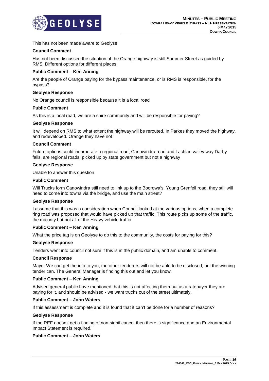

This has not been made aware to Geolyse

# **Council Comment**

Has not been discussed the situation of the Orange highway is still Summer Street as guided by RMS. Different options for different places.

# **Public Comment – Ken Anning**

Are the people of Orange paying for the bypass maintenance, or is RMS is responsible, for the bypass?

# **Geolyse Response**

No Orange council is responsible because it is a local road

#### **Public Comment**

As this is a local road, we are a shire community and will be responsible for paying?

# **Geolyse Response**

It will depend on RMS to what extent the highway will be rerouted. In Parkes they moved the highway, and redeveloped. Orange they have not

#### **Council Comment**

Future options could incorporate a regional road, Canowindra road and Lachlan valley way Darby falls, are regional roads, picked up by state government but not a highway

#### **Geolyse Response**

Unable to answer this question

#### **Public Comment**

Will Trucks form Canowindra still need to link up to the Boorowa's, Young Grenfell road, they still will need to come into towns via the bridge, and use the main street?

#### **Geolyse Response**

I assume that this was a consideration when Council looked at the various options, when a complete ring road was proposed that would have picked up that traffic. This route picks up some of the traffic, the majority but not all of the Heavy vehicle traffic.

#### **Public Comment – Ken Anning**

What the price tag is on Geolyse to do this to the community, the costs for paying for this?

#### **Geolyse Response**

Tenders went into council not sure if this is in the public domain, and am unable to comment.

#### **Council Response**

Mayor We can get the info to you, the other tenderers will not be able to be disclosed, but the winning tender can. The General Manager is finding this out and let you know.

#### **Public Comment – Ken Anning**

Advised general public have mentioned that this is not affecting them but as a ratepayer they are paying for it, and should be advised - we want trucks out of the street ultimately.

#### **Public Comment – John Waters**

If this assessment is complete and it is found that it can't be done for a number of reasons?

#### **Geolyse Response**

If the REF doesn't get a finding of non-significance, then there is significance and an Environmental Impact Statement is required.

# **Public Comment – John Waters**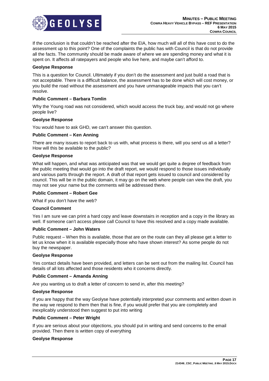

If the conclusion is that couldn't be reached after the EIA, how much will all of this have cost to do the assessment up to this point? One of the complaints the public has with Council is that do not provide all the facts. The community should be made aware of where we are spending money and what it is spent on. It affects all ratepayers and people who live here, and maybe can't afford to.

# **Geolyse Response**

This is a question for Council. Ultimately if you don't do the assessment and just build a road that is not acceptable. There is a difficult balance, the assessment has to be done which will cost money, or you build the road without the assessment and you have unmanageable impacts that you can't resolve.

# **Public Comment – Barbara Tomlin**

Why the Young road was not considered, which would access the truck bay, and would not go where people live?

#### **Geolyse Response**

You would have to ask GHD, we can't answer this question.

#### **Public Comment – Ken Anning**

There are many issues to report back to us with, what process is there, will you send us all a letter? How will this be available to the public?

#### **Geolyse Response**

What will happen, and what was anticipated was that we would get quite a degree of feedback from the public meeting that would go into the draft report, we would respond to those issues individually and various parts through the report. A draft of that report gets issued to council and considered by council. This will be in the public domain, it may go on the web where people can view the draft, you may not see your name but the comments will be addressed there.

#### **Public Comment – Robert Gee**

What if you don't have the web?

#### **Council Comment**

Yes I am sure we can print a hard copy and leave downstairs in reception and a copy in the library as well. If someone can't access please call Council to have this resolved and a copy made available.

#### **Public Comment – John Waters**

Public request – When this is available, those that are on the route can they all please get a letter to let us know when it is available especially those who have shown interest? As some people do not buy the newspaper.

#### **Geolyse Response**

Yes contact details have been provided, and letters can be sent out from the mailing list. Council has details of all lots affected and those residents who it concerns directly.

#### **Public Comment – Amanda Anning**

Are you wanting us to draft a letter of concern to send in, after this meeting?

#### **Geolyse Response**

If you are happy that the way Geolyse have potentially interpreted your comments and written down in the way we respond to them then that is fine, if you would prefer that you are completely and inexplicably understood then suggest to put into writing

#### **Public Comment – Peter Wright**

If you are serious about your objections, you should put in writing and send concerns to the email provided. Then there is written copy of everything

#### **Geolyse Response**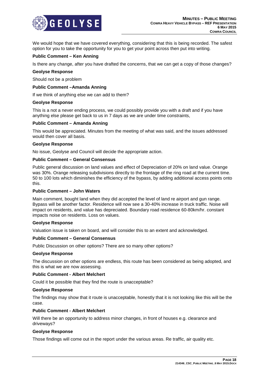

We would hope that we have covered everything, considering that this is being recorded. The safest option for you to take the opportunity for you to get your point across then put into writing.

# **Public Comment – Ken Anning**

Is there any change, after you have drafted the concerns, that we can get a copy of those changes?

#### **Geolyse Response**

Should not be a problem

#### **Public Comment –Amanda Anning**

If we think of anything else we can add to them?

#### **Geolyse Response**

This is a not a never ending process, we could possibly provide you with a draft and if you have anything else please get back to us in 7 days as we are under time constraints,

#### **Public Comment – Amanda Anning**

This would be appreciated. Minutes from the meeting of what was said, and the issues addressed would then cover all basis.

#### **Geolyse Response**

No issue, Geolyse and Council will decide the appropriate action.

#### **Public Comment – General Consensus**

Public general discussion on land values and effect of Depreciation of 20% on land value. Orange was 30%. Orange releasing subdivisions directly to the frontage of the ring road at the current time. 50 to 100 lots which diminishes the efficiency of the bypass, by adding additional access points onto this.

#### **Public Comment – John Waters**

Main comment, bought land when they did accepted the level of land re airport and gun range. Bypass will be another factor. Residence will now see a 30-40% increase in truck traffic. Noise will impact on residents, and value has depreciated. Boundary road residence 60-80km/hr. constant impacts noise on residents. Loss on values.

#### **Geolyse Response**

Valuation issue is taken on board, and will consider this to an extent and acknowledged.

#### **Public Comment – General Consensus**

Public Discussion on other options? There are so many other options?

#### **Geolyse Response**

The discussion on other options are endless, this route has been considered as being adopted, and this is what we are now assessing.

#### **Public Comment - Albert Melchert**

Could it be possible that they find the route is unacceptable?

#### **Geolyse Response**

The findings may show that it route is unacceptable, honestly that it is not looking like this will be the case.

### **Public Comment - Albert Melchert**

Will there be an opportunity to address minor changes, in front of houses e.g. clearance and driveways?

#### **Geolyse Response**

Those findings will come out in the report under the various areas. Re traffic, air quality etc.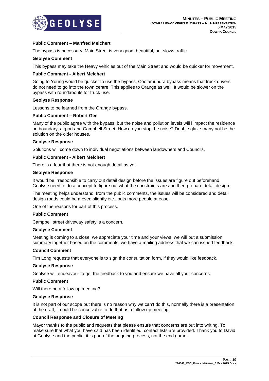

# **Public Comment – Manfred Melchert**

The bypass is necessary, Main Street is very good, beautiful, but slows traffic

# **Geolyse Comment**

This bypass may take the Heavy vehicles out of the Main Street and would be quicker for movement.

# **Public Comment - Albert Melchert**

Going to Young would be quicker to use the bypass, Cootamundra bypass means that truck drivers do not need to go into the town centre. This applies to Orange as well. It would be slower on the bypass with roundabouts for truck use.

# **Geolyse Response**

Lessons to be learned from the Orange bypass.

# **Public Comment – Robert Gee**

Many of the public agree with the bypass, but the noise and pollution levels will l impact the residence on boundary, airport and Campbell Street. How do you stop the noise? Double glaze many not be the solution on the older houses.

#### **Geolyse Response**

Solutions will come down to individual negotiations between landowners and Councils.

# **Public Comment - Albert Melchert**

There is a fear that there is not enough detail as yet.

#### **Geolyse Response**

It would be irresponsible to carry out detail design before the issues are figure out beforehand. Geolyse need to do a concept to figure out what the constraints are and then prepare detail design.

The meeting helps understand, from the public comments, the issues will be considered and detail design roads could be moved slightly etc., puts more people at ease.

One of the reasons for part of this process.

#### **Public Comment**

Campbell street driveway safety is a concern.

#### **Geolyse Comment**

Meeting is coming to a close, we appreciate your time and your views, we will put a submission summary together based on the comments, we have a mailing address that we can issued feedback.

#### **Council Comment**

Tim Long requests that everyone is to sign the consultation form, if they would like feedback.

#### **Geolyse Response**

Geolyse will endeavour to get the feedback to you and ensure we have all your concerns.

#### **Public Comment**

Will there be a follow up meeting?

#### **Geolyse Response**

It is not part of our scope but there is no reason why we can't do this, normally there is a presentation of the draft, it could be conceivable to do that as a follow up meeting.

#### **Council Response and Closure of Meeting**

Mayor thanks to the public and requests that please ensure that concerns are put into writing. To make sure that what you have said has been identified, contact lists are provided. Thank you to David at Geolyse and the public, it is part of the ongoing process, not the end game.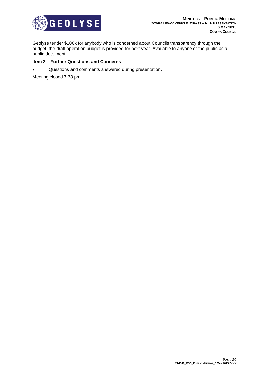

Geolyse tender \$100k for anybody who is concerned about Councils transparency through the budget, the draft operation budget is provided for next year. Available to anyone of the public.as a public document.

# **Item 2 – Further Questions and Concerns**

• Questions and comments answered during presentation.

Meeting closed 7.33 pm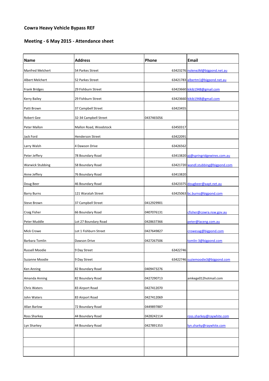# **Cowra Heavy Vehicle Bypass REF**

# **Meeting - 6 May 2015 - Attendance sheet**

| <b>Name</b>             | <b>Address</b>          | Phone      | Email                               |
|-------------------------|-------------------------|------------|-------------------------------------|
| <b>Manfred Melchert</b> | 54 Parkes Street        |            | 63423276 noleneJM@bigpond.net.au    |
| Albert Melchert         | 52 Parkes Street        |            | 63421783 albertm1@bigpond.net.au    |
| <b>Frank Bridges</b>    | 29 Fishburn Street      |            | 63423660 kikib1948@gmail.com        |
| <b>Kerry Bailey</b>     | 29 Fishburn Street      |            | 63423660 kikib1948@gmail.com        |
| Patti Brown             | 37 Campbell Street      | 63423455   |                                     |
| Robert Gee              | 32-34 Campbell Street   | 0437465056 |                                     |
| Peter Mallon            | Mallon Road, Woodstock  | 63450317   |                                     |
| Jack Ford               | <b>Henderson Street</b> | 63422091   |                                     |
| Larry Walsh             | 4 Dawson Drive          | 63426562   |                                     |
| Peter Jeffery           | 78 Boundary Road        |            | 63413820 pj@springridgewines.com.au |
| <b>Warwick Stubbing</b> | 58 Boundary Road        |            | 63421720 wandl.stubbing@bigpond.com |
| Anne Jeffery            | 76 Boundary Road        | 63413820   |                                     |
| Doug Beer               | 46 Boundary Road        |            | 63423375 dougbeer@aapt.net.au       |
| <b>Barry Burns</b>      | 121 Waratah Street      |            | 63425063 bc.burns@bigpond.com       |
| Steve Brown             | 37 Campbell Street      | 0412929901 |                                     |
| Craig Fisher            | 66 Boundary Road        | 0407076131 | cfisher@cowra.nsw.gov.au            |
| Peter Muddle            | Lot 27 Boundary Road    | 0428637366 | peter@laceng.com.au                 |
| <b>Mick Crowe</b>       | Lot 1 Fishburn Street   | 0427649827 | crowesag@bigpond.com                |
| Barbara Tomlin          | Dawson Drive            | 0427267506 | tomlin-3@bigpond.com                |
| Russell Moodie          | 9 Day Street            | 63422746   |                                     |
| Suzanne Moodie          | 9 Day Street            |            | 63422746 suziemoodie3@bigpond.com   |
| Ken Anning              | 82 Boundary Road        | 0409473276 |                                     |
| Amanda Anning           | 82 Boundary Road        | 0427290713 | amkege012hotmail.com                |
| Chris Waters            | 83 Airport Road         | 0427412070 |                                     |
| John Waters             | 83 Airport Road         | 0427412069 |                                     |
| <b>Allan Barlow</b>     | 72 Boundary Road        | 0449897887 |                                     |
| Ross Sharkey            | 44 Boundary Road        | 0428242114 | ross.sharkey@raywhite.com           |
| Lyn Sharkey             | 44 Boundary Road        | 0427891353 | lyn.sharky@raywhite.com             |
|                         |                         |            |                                     |
|                         |                         |            |                                     |
|                         |                         |            |                                     |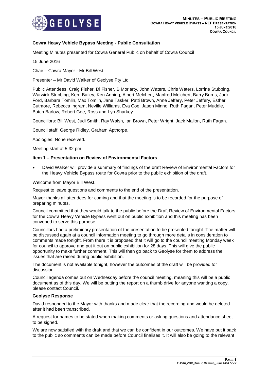

# **Cowra Heavy Vehicle Bypass Meeting - Public Consultation**

Meeting Minutes presented for Cowra General Public on behalf of Cowra Council

15 June 2016

Chair – Cowra Mayor - Mr Bill West

Presenter – Mr David Walker of Geolyse Pty Ltd

Public Attendees: Craig Fisher, Di Fisher, B Moriarty, John Waters, Chris Waters, Lorrine Stubbing, Warwick Stubbing, Kerri Bailey, Ken Anning, Albert Melchert, Manfred Melchert, Barry Burns, Jack Ford, Barbara Tomlin, Max Tomlin, Jane Tasker, Patti Brown, Anne Jeffery, Peter Jeffery, Esther Cutmore, Rebecca Ingram, Neville Williams, Eva Coe, Jason Minno, Ruth Fagan, Peter Muddle, Butch Barlow, Robert Gee, Ross and Lyn Sharkey

Councillors: Bill West, Judi Smith, Ray Walsh, Ian Brown, Peter Wright, Jack Mallon, Ruth Fagan.

Council staff: George Ridley, Graham Apthorpe,

Apologies: None received.

Meeting start at 5:32 pm.

#### **Item 1 – Presentation on Review of Environmental Factors**

 David Walker will provide a summary of findings of the draft Review of Environmental Factors for the Heavy Vehicle Bypass route for Cowra prior to the public exhibition of the draft.

Welcome from Mayor Bill West.

Request to leave questions and comments to the end of the presentation.

Mayor thanks all attendees for coming and that the meeting is to be recorded for the purpose of preparing minutes.

Council committed that they would talk to the public before the Draft Review of Environmental Factors for the Cowra Heavy Vehicle Bypass went out on public exhibition and this meeting has been convened to serve this purpose.

Councillors had a preliminary presentation of the presentation to be presented tonight. The matter will be discussed again at a council information meeting to go through more details in consideration to comments made tonight. From there it is proposed that it will go to the council meeting Monday week for council to approve and put it out on public exhibition for 28 days. This will give the public opportunity to make further comment. This will then go back to Geolyse for them to address the issues that are raised during public exhibition.

The document is not available tonight, however the outcomes of the draft will be provided for discussion.

Council agenda comes out on Wednesday before the council meeting, meaning this will be a public document as of this day. We will be putting the report on a thumb drive for anyone wanting a copy, please contact Council.

#### **Geolyse Response**

David responded to the Mayor with thanks and made clear that the recording and would be deleted after it had been transcribed.

A request for names to be stated when making comments or asking questions and attendance sheet to be signed.

We are now satisfied with the draft and that we can be confident in our outcomes. We have put it back to the public so comments can be made before Council finalises it. It will also be going to the relevant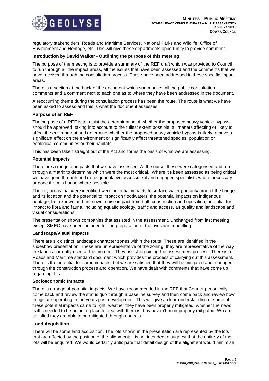

regulatory stakeholders, Roads and Maritime Services, National Parks and Wildlife, Office of Environment and Heritage, etc. This will give these departments opportunity to provide comment.

#### **Introduction by David Walker - Outlining the purpose of this meeting.**

The purpose of the meeting is to provide a summary of the REF draft which was provided to Council to run through all the impact areas, all the issues that have been assessed and the comments that we have received through the consultation process. Those have been addressed in these specific impact areas.

There is a section at the back of the document which summarises all the public consultation comments and a comment next to each one as to where they have been addressed in the document.

A reoccurring theme during the consultation process has been the route. The route is what we have been asked to assess and this is what the document assesses.

#### **Purpose of an REF**

The purpose of a REF is to assist the determination of whether the proposed heavy vehicle bypass should be approved, taking into account to the fullest extent possible, all matters affecting or likely to affect the environment and determine whether the proposed heavy vehicle bypass is likely to have a significant effect on the environment or significantly affect threatened species, population or ecological communities or their habitats.

This has been taken straight out of the Act and forms the basis of what we are assessing.

#### **Potential Impacts**

There are a range of impacts that we have assessed. At the outset these were categorised and run through a matrix to determine which were the most critical. Where it's been assessed as being critical we have gone through and done quantitative assessment and engaged specialists where necessary or done them in house where possible.

The key areas that were identified were potential impacts to surface water primarily around the bridge and its location and the potential to impact on floodwaters, the potential impacts on indigenous heritage, both known and unknown, noise impact from both construction and operation, potential for impact to flora and fauna, including aquatic ecology, traffic and access, air quality and landscape and visual considerations.

The presentation shows companies that assisted in the assessment. Unchanged from last meeting except SMEC have been included for the preparation of the hydraulic modelling.

#### **Landscape/Visual Impacts**

There are six distinct landscape character zones within the route. These are identified in the slideshow presentation. These are unrepresentative of the zoning, they are representative of the way the land is currently used at the moment. They assist in guiding the assessment process. There is a Roads and Maritime standard document which provides the process of carrying out this assessment. There is the potential for some impacts, but we are satisfied that they will be mitigated and managed through the construction process and operation. We have dealt with comments that have come up regarding this.

#### **Socioeconomic Impacts**

There is a range of potential impacts. We have recommended in the REF that Council periodically come back and review the status quo through a baseline survey and then come back and review how things are operating in the years post development. This will give a clear understanding of some of these potential impacts came to light, weather they have been properly mitigated, whether the news traffic needed to be put in to place to deal with them is they haven't been properly mitigated. We are satisfied they are able to be mitigated through controls.

#### **Land Acquisition**

There will be some land acquisition. The lots shown in the presentation are represented by the lots that are affected by the position of the alignment; it is not intended to suggest that the entirety of the lots will be enquired. We would certainly anticipate that detail design of the alignment would minimise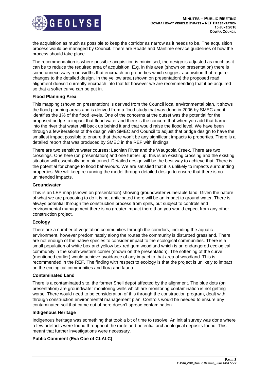

the acquisition as much as possible to keep the corridor as narrow as it needs to be. The acquisition process would be managed by Council. There are Roads and Maritime service guidelines of how the process should take place.

The recommendation is where possible acquisition is minimised, the design is adjusted as much as it can be to reduce the required area of acquisition. E.g. in this area (shown on presentation) there is some unnecessary road widths that encroach on properties which suggest acquisition that require changes to the detailed design. In the yellow area (shown on presentation) the proposed road alignment doesn't currently encroach into that lot however we are recommending that it be acquired so that a softer curve can be put in.

# **Flood Planning Area**

This mapping (shown on presentation) is derived from the Council local environmental plan, it shows the flood planning areas and is derived from a flood study that was done in 2006 by SMEC and it identifies the 1% of the flood levels. One of the concerns at the outset was the potential for the proposed bridge to impact that flood water and there is the concern that when you add that barrier into the river that water will back up behind it and that would raise the flood level. We have been through a few iterations of the design with SMEC and Council to adjust that bridge design to have the smallest impact possible to ensure that there won't be any significant impacts to properties. There is a detailed report that was produced by SMEC in the REF with findings.

There are two sensitive water courses: Lachlan River and the Waugoola Creek. There are two crossings. One here (on presentation) and one further up; this is an existing crossing and the existing situation will essentially be maintained. Detailed design will be the best way to achieve that. There is the potential for change to flood behaviours. We are satisfied that it is unlikely to impacts surrounding properties. We will keep re-running the model through detailed design to ensure that there is no unintended impacts.

#### **Groundwater**

This is an LEP map (shown on presentation) showing groundwater vulnerable land. Given the nature of what we are proposing to do it is not anticipated there will be an impact to ground water. There is always potential through the construction process from spills, but subject to controls and environmental management there is no greater impact there than you would expect from any other construction project.

# **Ecology**

There are a number of vegetation communities through the corridors, including the aquatic environment, however predominately along the routes the community is disturbed grassland. There are not enough of the native species to consider impact to the ecological communities. There is a small population of white box and yellow box red gum woodland which is an endangered ecological community in the south-western corner (shown on the presentation). The softening of the curve (mentioned earlier) would achieve avoidance of any impact to that area of woodland. This is recommended in the REF. The finding with respect to ecology is that the project is unlikely to impact on the ecological communities and flora and fauna.

#### **Contaminated Land**

There is a contaminated site, the former Shell depot affected by the alignment. The blue dots (on presentation) are groundwater monitoring wells which are monitoring contamination is not getting worse. There would need to be consideration of this through the construction program, dealt with through construction environmental management plan. Controls would be needed to ensure any contaminated soil that came out of here doesn't spread contamination.

#### **Indigenous Heritage**

Indigenous heritage was something that took a bit of time to resolve. An initial survey was done where a few artefacts were found throughout the route and potential archaeological deposits found. This meant that further investigations were necessary.

# **Public Comment (Eva Coe of CLALC)**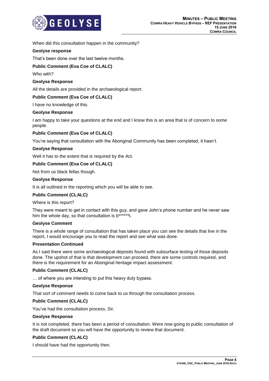

When did this consultation happen in the community?

# **Geolyse response**

That's been done over the last twelve months.

# **Public Comment (Eva Coe of CLALC)**

Who with?

# **Geolyse Response**

All the details are provided in the archaeological report.

# **Public Comment (Eva Coe of CLALC)**

I have no knowledge of this.

# **Geolyse Response**

I am happy to take your questions at the end and I know this is an area that is of concern to some people.

# **Public Comment (Eva Coe of CLALC)**

You're saying that consultation with the Aboriginal Community has been completed, it hasn't.

# **Geolyse Response**

Well it has to the extent that is required by the Act.

# **Public Comment (Eva Coe of CLALC)**

Not from us black fellas though.

#### **Geolyse Response**

It is all outlined in the reporting which you will be able to see.

#### **Public Comment (CLALC)**

Where is this report?

They were meant to get in contact with this guy, and gave John's phone number and he never saw him the whole day, so that consultation is b\*\*\*\*\*\*t.

#### **Geolyse Comment**

There is a whole range of consultation that has taken place you can see the details that live in the report, I would encourage you to read the report and see what was done.

#### **Presentation Continued**

As I said there were some archaeological deposits found with subsurface testing of those deposits done. The upshot of that is that development can proceed, there are some controls required, and there is the requirement for an Aboriginal heritage impact assessment.

#### **Public Comment (CLALC)**

… of where you are intending to put this heavy duty bypass.

#### **Geolyse Response**

That sort of comment needs to come back to us through the consultation process.

# **Public Comment (CLALC)**

You've had the consultation process, Sir.

#### **Geolyse Response**

It is not completed, there has been a period of consultation. Were now going to public consultation of the draft document so you will have the opportunity to review that document.

#### **Public Comment (CLALC)**

I should have had the opportunity then.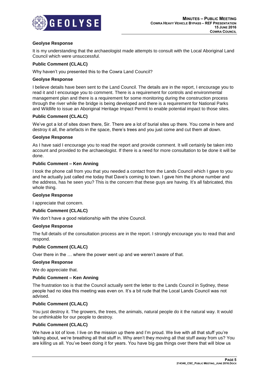

# **Geolyse Response**

It is my understanding that the archaeologist made attempts to consult with the Local Aboriginal Land Council which were unsuccessful.

# **Public Comment (CLALC)**

Why haven't you presented this to the Cowra Land Council?

#### **Geolyse Response**

I believe details have been sent to the Land Council. The details are in the report, I encourage you to read it and I encourage you to comment. There is a requirement for controls and environmental management plan and there is a requirement for some monitoring during the construction process through the river while the bridge is being developed and there is a requirement for National Parks and Wildlife to issue an Aboriginal Heritage Impact Permit to enable potential impact to those sites.

# **Public Comment (CLALC)**

We've got a lot of sites down there, Sir. There are a lot of burial sites up there. You come in here and destroy it all, the artefacts in the space, there's trees and you just come and cut them all down.

#### **Geolyse Response**

As I have said I encourage you to read the report and provide comment. It will certainly be taken into account and provided to the archaeologist. If there is a need for more consultation to be done it will be done.

# **Public Comment – Ken Anning**

I took the phone call from you that you needed a contact from the Lands Council which I gave to you and he actually just called me today that Dave's coming to town. I gave him the phone number and the address, has he seen you? This is the concern that these guys are having. It's all fabricated, this whole thing.

#### **Geolyse Response**

I appreciate that concern.

# **Public Comment (CLALC)**

We don't have a good relationship with the shire Council.

#### **Geolyse Response**

The full details of the consultation process are in the report. I strongly encourage you to read that and respond.

#### **Public Comment (CLALC)**

Over there in the … where the power went up and we weren't aware of that.

#### **Geolyse Response**

We do appreciate that.

#### **Public Comment – Ken Anning**

The frustration too is that the Council actually sent the letter to the Lands Council in Sydney, these people had no idea this meeting was even on. It's a bit rude that the Local Lands Council was not advised.

#### **Public Comment (CLALC)**

You just destroy it. The growers, the trees, the animals, natural people do it the natural way. It would be unthinkable for our people to destroy.

# **Public Comment (CLALC)**

We have a lot of love. I live on the mission up there and I'm proud. We live with all that stuff you're talking about, we're breathing all that stuff in. Why aren't they moving all that stuff away from us? You are killing us all. You've been doing it for years. You have big gas things over there that will blow us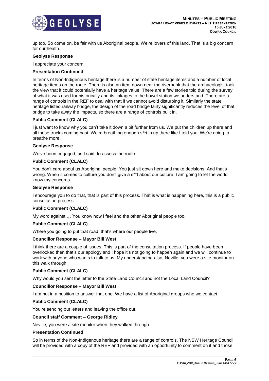

up too. So come on, be fair with us Aboriginal people. We're lovers of this land. That is a big concern for our health.

#### **Geolyse Response**

I appreciate your concern.

# **Presentation Continued**

In terms of Non-Indigenous heritage there is a number of state heritage items and a number of local heritage items on the route. There is also an item down near the riverbank that the archaeologist took the view that it could potentially have a heritage value. There are a few stories told during the survey of what it was used for historically and its linkages to the bowel station we understand. There are a range of controls in the REF to deal with that if we cannot avoid disturbing it. Similarly the state heritage listed railway bridge, the design of the road bridge fairly significantly reduces the level of that bridge to take away the impacts, so there are a range of controls built in.

#### **Public Comment (CLALC)**

I just want to know why you can't take it down a bit further from us. We put the children up there and all those trucks coming past. We're breathing enough s\*\*t in up there like I told you. We're going to breathe more.

#### **Geolyse Response**

We've been engaged, as I said, to assess the route.

# **Public Comment (CLALC)**

You don't care about us Aboriginal people. You just sit down here and make decisions. And that's wrong. When it comes to culture you don't give a s\*\*t about our culture. I am going to let the world know my concerns.

#### **Geolyse Response**

I encourage you to do that, that is part of this process. That is what is happening here, this is a public consultation process.

# **Public Comment (CLALC)**

My word against … You know how I feel and the other Aboriginal people too.

# **Public Comment (CLALC)**

Where you going to put that road, that's where our people live.

# **Councillor Response – Mayor Bill West**

I think there are a couple of issues. This is part of the consultation process. If people have been overlooked then that's our apology and I hope it's not going to happen again and we will continue to work with anyone who wants to talk to us. My understanding also, Neville, you were a site monitor on this walk through.

#### **Public Comment (CLALC)**

Why would you sent the letter to the State Land Council and not the Local Land Council?

#### **Councillor Response – Mayor Bill West**

I am not in a position to answer that one. We have a list of Aboriginal groups who we contact.

# **Public Comment (CLALC)**

You're sending out letters and leaving the office out.

#### **Council staff Comment – George Ridley**

Neville, you were a site monitor when they walked through.

#### **Presentation Continued**

So in terms of the Non-Indigenous heritage there are a range of controls. The NSW Heritage Council will be provided with a copy of the REF and provided with an opportunity to comment on it and those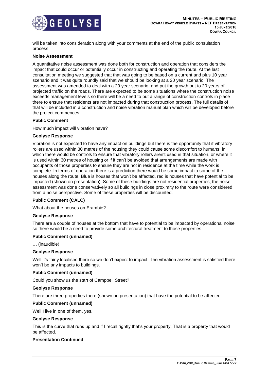

will be taken into consideration along with your comments at the end of the public consultation process.

#### **Noise Assessment**

A quantitative noise assessment was done both for construction and operation that considers the impact that could occur or potentially occur in constructing and operating the route. At the last consultation meeting we suggested that that was going to be based on a current and plus 10 year scenario and it was quite roundly said that we should be looking at a 20 year scenario. The assessment was amended to deal with a 20 year scenario, and put the growth out to 20 years of projected traffic on the roads. There are expected to be some situations where the construction noise exceeds management levels so there will be a need to put a range of construction controls in place there to ensure that residents are not impacted during that construction process. The full details of that will be included in a construction and noise vibration manual plan which will be developed before the project commences.

#### **Public Comment**

How much impact will vibration have?

#### **Geolyse Response**

Vibration is not expected to have any impact on buildings but there is the opportunity that if vibratory rollers are used within 30 metres of the housing they could cause some discomfort to humans; in which there would be controls to ensure that vibratory rollers aren't used in that situation, or where it is used within 30 metres of housing or if it can't be avoided that arrangements are made with occupants of those properties to ensure they are not in residence at the time while the work is complete. In terms of operation there is a prediction there would be some impact to some of the houses along the route. Blue is houses that won't be affected, red is houses that have potential to be impacted (shown on presentation). Some of these buildings are not residential properties, the noise assessment was done conservatively so all buildings in close proximity to the route were considered from a noise perspective. Some of these properties will be discounted.

#### **Public Comment (CALC)**

What about the houses on Erambie?

#### **Geolyse Response**

There are a couple of houses at the bottom that have to potential to be impacted by operational noise so there would be a need to provide some architectural treatment to those properties.

#### **Public Comment (unnamed)**

… (inaudible)

#### **Geolyse Response**

Well it's fairly localised there so we don't expect to impact. The vibration assessment is satisfied there won't be any impacts to buildings.

#### **Public Comment (unnamed)**

Could you show us the start of Campbell Street?

#### **Geolyse Response**

There are three properties there (shown on presentation) that have the potential to be affected.

#### **Public Comment (unnamed)**

Well I live in one of them, yes.

#### **Geolyse Response**

This is the curve that runs up and if I recall rightly that's your property. That is a property that would be affected.

# **Presentation Continued**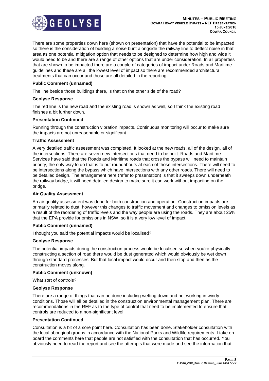

There are some properties down here (shown on presentation) that have the potential to be impacted so there is the consideration of building a noise bunt alongside the railway line to deflect noise in that area as one potential mitigation option that needs to be designed to determine how high and wide it would need to be and there are a range of other options that are under consideration. In all properties that are shown to be impacted there are a couple of categories of impact under Roads and Maritime guidelines and these are all the lowest level of impact so there are recommended architectural treatments that can occur and those are all detailed in the reporting.

# **Public Comment (unnamed)**

The line beside those buildings there, is that on the other side of the road?

#### **Geolyse Response**

The red line is the new road and the existing road is shown as well, so I think the existing road finishes a bit further down.

#### **Presentation Continued**

Running through the construction vibration impacts. Continuous monitoring will occur to make sure the impacts are not unreasonable or significant.

#### **Traffic Assessment**

A very detailed traffic assessment was completed. It looked at the new roads, all of the design, all of the intersections. There are seven new intersections that need to be built. Roads and Maritime Services have said that the Roads and Maritime roads that cross the bypass will need to maintain priority, the only way to do that is to put roundabouts at each of those intersections. There will need to be intersections along the bypass which have intersections with any other roads. There will need to be detailed design. The arrangement here (refer to presentation) is that it sweeps down underneath the railway bridge, it will need detailed design to make sure it can work without impacting on the bridge.

#### **Air Quality Assessment**

An air quality assessment was done for both construction and operation. Construction impacts are primarily related to dust, however this changes to traffic movement and changes to omission levels as a result of the reordering of traffic levels and the way people are using the roads. They are about 25% that the EPA provide for omissions in NSW, so it is a very low level of impact.

#### **Public Comment (unnamed)**

I thought you said the potential impacts would be localised?

#### **Geolyse Response**

The potential impacts during the construction process would be localised so when you're physically constructing a section of road there would be dust generated which would obviously be wet down through standard processes. But that local impact would occur and then stop and then as the construction moves along.

#### **Public Comment (unknown)**

What sort of controls?

#### **Geolyse Response**

There are a range of things that can be done including wetting down and not working in windy conditions. Those will all be detailed in the construction environmental management plan. There are recommendations in the REF as to the type of control that need to be implemented to ensure that controls are reduced to a non-significant level.

#### **Presentation Continued**

Consultation is a bit of a sore point here. Consultation has been done. Stakeholder consultation with the local aboriginal groups in accordance with the National Parks and Wildlife requirements. I take on board the comments here that people are not satisfied with the consultation that has occurred. You obviously need to read the report and see the attempts that were made and see the information that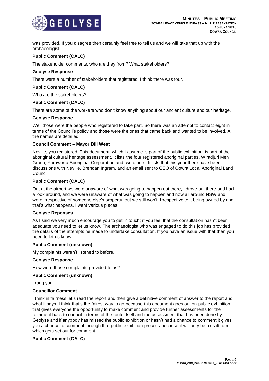

was provided. If you disagree then certainly feel free to tell us and we will take that up with the archaeologist.

# **Public Comment (CALC)**

The stakeholder comments, who are they from? What stakeholders?

# **Geolyse Response**

There were a number of stakeholders that registered. I think there was four.

# **Public Comment (CALC)**

Who are the stakeholders?

# **Public Comment (CALC)**

There are some of the workers who don't know anything about our ancient culture and our heritage.

#### **Geolyse Response**

Well those were the people who registered to take part. So there was an attempt to contact eight in terms of the Council's policy and those were the ones that came back and wanted to be involved. All the names are detailed.

# **Council Comment – Mayor Bill West**

Neville, you registered. This document, which I assume is part of the public exhibition, is part of the aboriginal cultural heritage assessment. It lists the four registered aboriginal parties, Wiradjuri Men Group, Yaraworra Aboriginal Corporation and two others. It lists that this year there have been discussions with Neville, Brendan Ingram, and an email sent to CEO of Cowra Local Aboriginal Land Council.

# **Public Comment (CALC)**

Out at the airport we were unaware of what was going to happen out there, I drove out there and had a look around, and we were unaware of what was going to happen and now all around NSW and were irrespective of someone else's property, but we still won't. Irrespective to it being owned by and that's what happens. I went various places.

#### **Geolyse Reponses**

As I said we very much encourage you to get in touch; if you feel that the consultation hasn't been adequate you need to let us know. The archaeologist who was engaged to do this job has provided the details of the attempts he made to undertake consultation. If you have an issue with that then you need to let us know.

#### **Public Comment (unknown)**

My complaints weren't listened to before.

#### **Geolyse Response**

How were those complaints provided to us?

#### **Public Comment (unknown)**

I rang you.

#### **Councillor Comment**

I think in fairness let's read the report and then give a definitive comment of answer to the report and what it says. I think that's the fairest way to go because this document goes out on public exhibition that gives everyone the opportunity to make comment and provide further assessments for the comment back to council in terms of the route itself and the assessment that has been done by Geolyse and if anybody has missed the public exhibition or hasn't had a chance to comment it gives you a chance to comment through that public exhibition process because it will only be a draft form which gets set out for comment.

# **Public Comment (CALC)**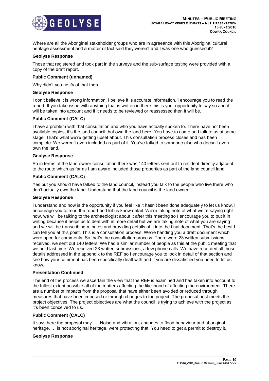

Where are all the Aboriginal stakeholder groups who are in agreeance with this Aboriginal cultural heritage assessment and a matter of fact said they weren't and I was one who guessed it?

#### **Geolyse Response**

Those that registered and took part in the surveys and the sub-surface testing were provided with a copy of the draft report.

#### **Public Comment (unnamed)**

Why didn't you notify of that then.

#### **Geolyse Response**

I don't believe it is wrong information. I believe it is accurate information. I encourage you to read the report. If you take issue with anything that is written in there this is your opportunity to say so and it will be taken into account and if it needs to be reviewed or reassessed then it will be.

#### **Public Comment (CALC)**

I have a problem with that consultation and who you have actually spoken to. There have not been available copies, it's the land council that own the land here. You have to come and talk to us at some stage. That's what we're getting upset about. This consultation process closes and has been complete. We weren't even included as part of it. You've talked to someone else who doesn't even own the land.

#### **Geolyse Response**

So in terms of the land owner consultation there was 140 letters sent out to resident directly adjacent to the route which as far as I am aware included those properties as part of the land council land.

#### **Public Comment (CALC)**

Yes but you should have talked to the land council, instead you talk to the people who live there who don't actually own the land. Understand that the land council is the land owner.

#### **Geolyse Response**

I understand and now is the opportunity if you feel like it hasn't been done adequately to let us know. I encourage you to read the report and let us know detail. We're taking note of what we're saying right now, we will be talking to the archaeologist about it after this meeting so I encourage you to put it in writing because it helps us to deal with in more detail but we are taking note of what you are saying and we will be transcribing minutes and providing details of it into the final document. That's the best I can tell you at this point. This is a consultation process. We're handing you a draft document which were open for comments. So that's the consultation process. There were 23 written submissions received, we sent out 140 letters. We had a similar number of people as this at the public meeting that we held last time. We received 23 written submissions, a few phone calls. We have recorded all those details addressed in the appendix to the REF so I encourage you to look in detail of that section and see how your comment has been specifically dealt with and if you are dissatisfied you need to let us know.

#### **Presentation Continued**

The end of the process we ascertain the view that the REF is examined and has taken into account to the fullest extent possible all of the matters affecting the likelihood of affecting the environment. There are a number of impacts from the proposal that have either been avoided or reduced through measures that have been imposed or through changes to the project. The proposal best meets the project objectives. The project objectives are what the council is trying to achieve with the project as it's been conceived to us.

#### **Public Comment (CALC)**

It says here the proposal may …. Noise and vibration, changes to flood behaviour and aboriginal heritage. … is not aboriginal heritage, were protecting that. You need to get a permit to destroy it.

#### **Geolyse Response**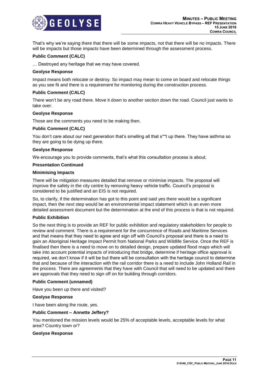

That's why we're saying there that there will be some impacts, not that there will be no impacts. There will be impacts but those impacts have been determined through the assessment process.

# **Public Comment (CALC)**

… Destroyed any heritage that we may have covered.

#### **Geolyse Response**

Impact means both relocate or destroy. So impact may mean to come on board and relocate things as you see fit and there is a requirement for monitoring during the construction process.

#### **Public Comment (CALC)**

There won't be any road there. Move it down to another section down the road. Council just wants to take over.

#### **Geolyse Response**

Those are the comments you need to be making then.

#### **Public Comment (CALC)**

You don't care about our next generation that's smelling all that s\*\*t up there. They have asthma so they are going to be dying up there.

#### **Geolyse Response**

We encourage you to provide comments, that's what this consultation process is about.

#### **Presentation Continued**

#### **Minimising Impacts**

There will be mitigation measures detailed that remove or minimise impacts. The proposal will improve the safety in the city centre by removing heavy vehicle traffic. Council's proposal is considered to be justified and an EIS is not required.

So, to clarify, if the determination has got to this point and said yes there would be a significant impact, then the next step would be an environmental impact statement which is an even more detailed assessment document but the determination at the end of this process is that is not required.

#### **Public Exhibition**

So the next thing is to provide an REF for public exhibition and regulatory stakeholders for people to review and comment. There is a requirement for the concurrence of Roads and Maritime Services and that means that they need to agree and sign off with Council's proposal and there is a need to gain an Aboriginal Heritage Impact Permit from National Parks and Wildlife Service. Once the REF is finalised then there is a need to move on to detailed design, prepare updated flood maps which will take into account potential impacts of introducing that bridge, determine if heritage office approval is required, we don't know if it will be but there will be consultation with the heritage council to determine that and because of the interaction with the rail corridor there is a need to include John Holland Rail in the process. There are agreements that they have with Council that will need to be updated and there are approvals that they need to sign off on for building through corridors.

#### **Public Comment (unnamed)**

Have you been up there and visited?

#### **Geolyse Response**

I have been along the route, yes.

#### **Public Comment – Annette Jeffery?**

You mentioned the mission levels would be 25% of acceptable levels, acceptable levels for what area? Country town or?

#### **Geolyse Response**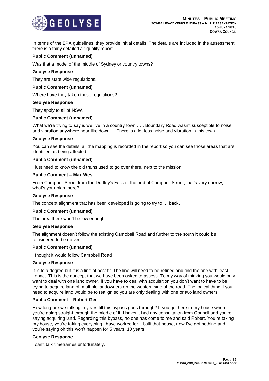

In terms of the EPA guidelines, they provide initial details. The details are included in the assessment, there is a fairly detailed air quality report.

# **Public Comment (unnamed)**

Was that a model of the middle of Sydney or country towns?

#### **Geolyse Response**

They are state wide regulations.

#### **Public Comment (unnamed)**

Where have they taken these regulations?

#### **Geolyse Response**

They apply to all of NSW.

#### **Public Comment (unnamed)**

What we're trying to say is we live in a country town ….. Boundary Road wasn't susceptible to noise and vibration anywhere near like down … There is a lot less noise and vibration in this town.

#### **Geolyse Response**

You can see the details, all the mapping is recorded in the report so you can see those areas that are identified as being affected.

#### **Public Comment (unnamed)**

I just need to know the old trains used to go over there, next to the mission.

#### **Public Comment – Max Wes**

From Campbell Street from the Dudley's Falls at the end of Campbell Street, that's very narrow, what's your plan there?

#### **Geolyse Response**

The concept alignment that has been developed is going to try to … back.

#### **Public Comment (unnamed)**

The area there won't be low enough.

#### **Geolyse Response**

The alignment doesn't follow the existing Campbell Road and further to the south it could be considered to be moved.

#### **Public Comment (unnamed)**

I thought it would follow Campbell Road

#### **Geolyse Response**

It is to a degree but it is a line of best fit. The line will need to be refined and find the one with least impact. This is the concept that we have been asked to assess. To my way of thinking you would only want to deal with one land owner. If you have to deal with acquisition you don't want to have to be trying to acquire land off multiple landowners on the western side of the road. The logical thing if you need to acquire land would be to realign so you are only dealing with one or two land owners.

#### **Public Comment – Robert Gee**

How long are we talking in years till this bypass goes through? If you go there to my house where you're going straight through the middle of it. I haven't had any consultation from Council and you're saying acquiring land. Regarding this bypass, no one has come to me and said Robert. You're taking my house, you're taking everything I have worked for, I built that house, now I've got nothing and you're saying oh this won't happen for 5 years, 10 years.

### **Geolyse Response**

I can't talk timeframes unfortunately.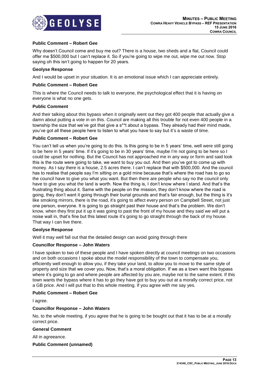

# **Public Comment – Robert Gee**

Why doesn't Council come and buy me out? There is a house, two sheds and a flat, Council could offer me \$500,000 but I can't replace it. So if you're going to wipe me out, wipe me out now. Stop saying oh this isn't going to happen for 20 years.

# **Geolyse Response**

And I would be upset in your situation. It is an emotional issue which I can appreciate entirely.

# **Public Comment – Robert Gee**

This is where the Council needs to talk to everyone, the psychological effect that it is having on everyone is what no one gets.

#### **Public Comment**

And their talking about this bypass when it originally went out they got 400 people that actually give a damn about putting a vote in on this. Council are making all this trouble for not even 400 people in a township the size that we've got that give a s\*\*t about a bypass. They already had their mind made, you've got all these people here to listen to what you have to say but it's a waste of time.

# **Public Comment – Robert Gee**

You can't tell us when you're going to do this. Is this going to be in 5 years' time, well were still going to be here in 5 years' time. If it's going to be in 30 years' time, maybe I'm not going to be here so I could be upset for nothing. But the Council has not approached me in any way or form and said look this is the route were going to take, we want to buy you out. And then you've got to come up with money. As I say there is a house, 2.5 acres there. I can't replace that with \$500,000. And the council has to realise that people say I'm sitting on a gold mine because that's where the road has to go so the council have to give you what you want. But then there are people who say no the council only have to give you what the land is worth. Now the thing is, I don't know where I stand. And that's the frustrating thing about it. Same with the people on the mission, they don't know where the road is going, they don't want it going through their burial grounds and that's fair enough, but the thing is it's like smoking mirrors, there is the road, it's going to affect every person on Campbell Street, not just one person, everyone. It is going to go straight past their house and that's the problem. We don't know, when they first put it up it was going to past the front of my house and they said we will put a noise wall in, that's fine but this latest route it's going to go straight through the back of my house. That way I can live there.

#### **Geolyse Response**

Well it may well fall out that the detailed design can avoid going through there

# **Councillor Response – John Waters**

I have spoken to two of these people and I have spoken directly at council meetings on two occasions and on both occasions I spoke about the model responsibility of the town to compensate you, efficiently well enough to allow you, if they take your land, to allow you to move to the same style of property and size that we cover you. Now, that's a moral obligation. If we as a town want this bypass where it's going to go and where people are affected by you are, maybe not to the same extent. If this town wants the bypass where it has to go they have got to buy you out at a morally correct price, not a GB price. And I will put that to this whole meeting. If you agree with me say yes.

# **Public Comment – Robert Gee**

I agree.

#### **Councillor Response – John Waters**

No, to the whole meeting, if you agree that he is going to be bought out that it has to be at a morally correct price.

#### **General Comment**

All in agreeance.

#### **Public Comment (unnamed)**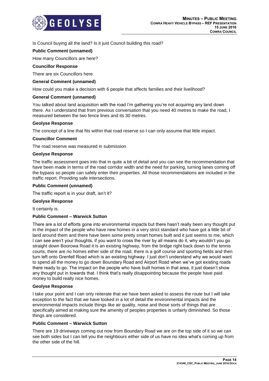

Is Council buying all the land? Is it just Council building this road?

# **Public Comment (unnamed)**

How many Councillors are here?

# **Councillor Response**

There are six Councillors here.

# **General Comment (unnamed)**

How could you make a decision with 6 people that affects families and their livelihood?

#### **General Comment (unnamed)**

You talked about land acquisition with the road I'm gathering you're not acquiring any land down there. As I understand that from previous conversation that you need 40 metres to make the road, I measured between the two fence lines and its 30 metres.

# **Geolyse Response**

The concept of a line that fits within that road reserve so I can only assume that little impact.

#### **Councillor Comment**

The road reserve was measured in submission

#### **Geolyse Response**

The traffic assessment goes into that in quite a bit of detail and you can see the recommendation that have been made in terms of the road corridor width and the need for parking, turning lanes coming off the bypass so people can safely enter their properties. All those recommendations are included in the traffic report. Providing safe intersections.

# **Public Comment (unnamed)**

The traffic report is in your draft, isn't it?

#### **Geolyse Response**

It certainly is.

# **Public Comment – Warwick Sutton**

There are a lot of efforts gone into environmental impacts but there hasn't really been any thought put in the impact of the people who have new homes in a very strict standard who have got a little bit of land around them and there have been some pretty smart homes built and it just seems to me, which I can see aren't your thoughts, if you want to cross the river by all means do it, why wouldn't you go straight down Boorowa Road it is an existing highway, from the bridge right back down to the tennis courts, there are no homes either side of the road, there is a golf course and sporting fields and then turn left onto Grenfell Road which is an existing highway. I just don't understand why we would want to spend all the money to go down Boundary Road and Airport Road when we've got existing roads there ready to go. The impact on the people who have built homes in that area, it just doesn't show any thought put in towards that. I think that's really disappointing because the people have paid money to build really nice homes.

#### **Geolyse Response**

I take your point and I can only reiterate that we have been asked to assess the route but I will take exception to the fact that we have looked in a lot of detail the environmental impacts and the environmental impacts include things like air quality, noise and those sorts of things that are specifically aimed at making sure the amenity of peoples properties is unfairly diminished. So those things are considered.

# **Public Comment – Warwick Sutton**

There are 19 driveways coming out now from Boundary Road we are on the top side of it so we can see both sides but I can tell you the neighbours either side of us have no idea what's coming up from the other side of the hill.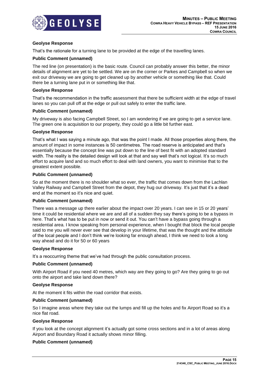

# **Geolyse Response**

That's the rationale for a turning lane to be provided at the edge of the travelling lanes.

# **Public Comment (unnamed)**

The red line (on presentation) is the basic route. Council can probably answer this better, the minor details of alignment are yet to be settled. We are on the corner or Parkes and Campbell so when we exit our driveway we are going to get cleaned up by another vehicle or something like that. Could there be a turning lane put in or something like that.

#### **Geolyse Response**

That's the recommendation in the traffic assessment that there be sufficient width at the edge of travel lanes so you can pull off at the edge or pull out safely to enter the traffic lane.

#### **Public Comment (unnamed)**

My driveway is also facing Campbell Street, so I am wondering if we are going to get a service lane. The green one is acquisition to our property, they could go a little bit further east.

#### **Geolyse Response**

That's what I was saying a minute ago, that was the point I made. All those properties along there, the amount of impact in some instances is 50 centimetres. The road reserve is anticipated and that's essentially because the concept line was put down to the line of best fit with an adopted standard width. The reality is the detailed design will look at that and say well that's not logical. It's so much effort to acquire land and so much effort to deal with land owners, you want to minimise that to the greatest extent possible.

# **Public Comment (unnamed)**

So at the moment there is no shoulder what so ever, the traffic that comes down from the Lachlan Valley Railway and Campbell Street from the depot, they hug our driveway. It's just that it's a dead end at the moment so it's nice and quiet.

#### **Public Comment (unnamed)**

There was a message up there earlier about the impact over 20 years. I can see in 15 or 20 years' time it could be residential where we are and all of a sudden they say there's going to be a bypass in here. That's what has to be put in now or send it out. You can't have a bypass going through a residential area. I know speaking from personal experience, when I bought that block the local people said to me you will never ever see that develop in your lifetime, that was the thought and the attitude of the local people and I don't think we're looking far enough ahead, I think we need to look a long way ahead and do it for 50 or 60 years

#### **Geolyse Response**

It's a reoccurring theme that we've had through the public consultation process.

#### **Public Comment (unnamed)**

With Airport Road if you need 40 metres, which way are they going to go? Are they going to go out onto the airport and take land down there?

# **Geolyse Response**

At the moment it fits within the road corridor that exists.

#### **Public Comment (unnamed)**

So I imagine areas where they take out the lumps and fill up the holes and fix Airport Road so it's a nice flat road.

#### **Geolyse Response**

If you look at the concept alignment it's actually got some cross sections and in a lot of areas along Airport and Boundary Road it actually shows minor filling.

# **Public Comment (unnamed)**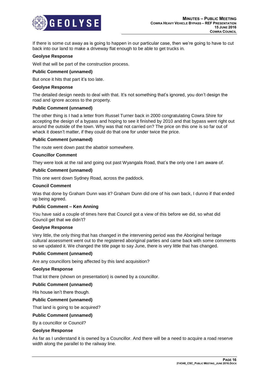

If there is some cut away as is going to happen in our particular case, then we're going to have to cut back into our land to make a driveway flat enough to be able to get trucks in.

#### **Geolyse Response**

Well that will be part of the construction process.

# **Public Comment (unnamed)**

But once it hits that part it's too late.

#### **Geolyse Response**

The detailed design needs to deal with that. It's not something that's ignored, you don't design the road and ignore access to the property.

#### **Public Comment (unnamed)**

The other thing is I had a letter from Russel Turner back in 2000 congratulating Cowra Shire for accepting the design of a bypass and hoping to see it finished by 2010 and that bypass went right out around the outside of the town. Why was that not carried on? The price on this one is so far out of whack it doesn't matter, if they could do that one for under twice the price.

#### **Public Comment (unnamed)**

The route went down past the abattoir somewhere.

#### **Councillor Comment**

They were look at the rail and going out past Wyangala Road, that's the only one I am aware of.

#### **Public Comment (unnamed)**

This one went down Sydney Road, across the paddock.

#### **Council Comment**

Was that done by Graham Dunn was it? Graham Dunn did one of his own back, I dunno if that ended up being agreed.

#### **Public Comment – Ken Anning**

You have said a couple of times here that Council got a view of this before we did, so what did Council get that we didn't?

#### **Geolyse Response**

Very little, the only thing that has changed in the intervening period was the Aboriginal heritage cultural assessment went out to the registered aboriginal parties and came back with some comments so we updated it. We changed the title page to say June, there is very little that has changed.

#### **Public Comment (unnamed)**

Are any councillors being affected by this land acquisition?

#### **Geolyse Response**

That lot there (shown on presentation) is owned by a councillor.

#### **Public Comment (unnamed)**

His house isn't there though.

#### **Public Comment (unnamed)**

That land is going to be acquired?

#### **Public Comment (unnamed)**

By a councillor or Council?

#### **Geolyse Response**

As far as I understand it is owned by a Councillor. And there will be a need to acquire a road reserve width along the parallel to the railway line.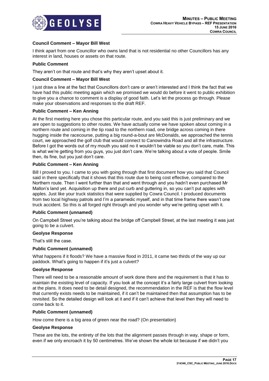

# **Council Comment – Mayor Bill West**

I think apart from one Councillor who owns land that is not residential no other Councillors has any interest in land, houses or assets on that route.

# **Public Comment**

They aren't on that route and that's why they aren't upset about it.

# **Council Comment – Mayor Bill West**

I just draw a line at the fact that Councillors don't care or aren't interested and I think the fact that we have had this public meeting again which we promised we would do before it went to public exhibition to give you a chance to comment is a display of good faith. Let's let the process go through. Please make your observations and responses to the draft REF.

# **Public Comment – Ken Anning**

At the first meeting here you chose this particular route, and you said this is just preliminary and we are open to suggestions to other routes. We have actually come we have spoken about coming in a northern route and coming in the tip road to the northern road, one bridge across coming in there hugging inside the racecourse, putting a big round-a-bout are McDonalds, we approached the tennis court, we approached the golf club that would connect to Canowindra Road and all the infrastructure. Before I got the words out of my mouth you said no it wouldn't be viable so you don't care, mate. This is what we're getting from you guys, you just don't care. We're talking about a vote of people. Smile then, its fine, but you just don't care.

#### **Public Comment – Ken Anning**

Bill I proved to you. I came to you with going through that first document how you said that Council said in there specifically that it shows that this route due to being cost effective, compared to the Northern route. Then I went further than that and went through and you hadn't even purchased Mr Mallon's land yet. Acquisition up there and put curb and guttering in, so you can't put apples with apples. Just like your truck statistics that were supplied by Cowra Council. I produced documents from two local highway patrols and I'm a paramedic myself, and in that time frame there wasn't one truck accident. So this is all forged right through and you wonder why we're getting upset with it.

#### **Public Comment (unnamed)**

On Campbell Street you're talking about the bridge off Campbell Street, at the last meeting it was just going to be a culvert.

#### **Geolyse Response**

That's still the case.

#### **Public Comment (unnamed)**

What happens if it floods? We have a massive flood in 2011, it came two thirds of the way up our paddock. What's going to happen if it's just a culvert?

#### **Geolyse Response**

There will need to be a reasonable amount of work done there and the requirement is that it has to maintain the existing level of capacity. If you look at the concept it's a fairly large culvert from looking at the plans. It does need to be detail designed, the recommendation in the REF is that the flow level that currently exists needs to be maintained, if it can't be maintained then that assumption has to be revisited. So the detailed design will look at it and if it can't achieve that level then they will need to come back to it.

#### **Public Comment (unnamed)**

How come there is a big area of green near the road? (On presentation)

#### **Geolyse Response**

These are the lots, the entirety of the lots that the alignment passes through in way, shape or form, even if we only encroach it by 50 centimetres. We've shown the whole lot because if we didn't you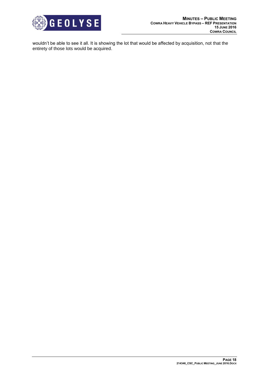

wouldn't be able to see it all. It is showing the lot that would be affected by acquisition, not that the entirety of those lots would be acquired.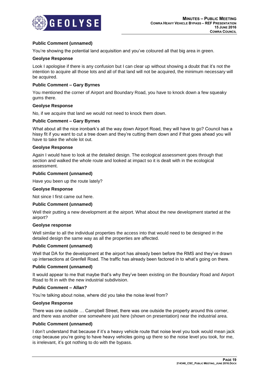

# **Public Comment (unnamed)**

You're showing the potential land acquisition and you've coloured all that big area in green.

#### **Geolyse Response**

Look I apologise if there is any confusion but I can clear up without showing a doubt that it's not the intention to acquire all those lots and all of that land will not be acquired, the minimum necessary will be acquired.

# **Public Comment – Gary Byrnes**

You mentioned the corner of Airport and Boundary Road, you have to knock down a few squeaky gums there.

#### **Geolyse Response**

No, if we acquire that land we would not need to knock them down.

#### **Public Comment – Gary Byrnes**

What about all the nice ironbark's all the way down Airport Road, they will have to go? Council has a hissy fit if you want to cut a tree down and they're cutting them down and if that goes ahead you will have to take the whole lot out.

#### **Geolyse Response**

Again I would have to look at the detailed design. The ecological assessment goes through that section and walked the whole route and looked at impact so it is dealt with in the ecological assessment.

#### **Public Comment (unnamed)**

Have you been up the route lately?

#### **Geolyse Response**

Not since I first came out here.

#### **Public Comment (unnamed)**

Well their putting a new development at the airport. What about the new development started at the airport?

#### **Geolyse response**

Well similar to all the individual properties the access into that would need to be designed in the detailed design the same way as all the properties are affected.

#### **Public Comment (unnamed)**

Well that DA for the development at the airport has already been before the RMS and they've drawn up intersections at Grenfell Road. The traffic has already been factored in to what's going on there.

#### **Public Comment (unnamed)**

It would appear to me that maybe that's why they've been existing on the Boundary Road and Airport Road to fit in with the new industrial subdivision.

#### **Public Comment – Allan?**

You're talking about noise, where did you take the noise level from?

#### **Geolyse Response**

There was one outside … Campbell Street, there was one outside the property around this corner, and there was another one somewhere just here (shown on presentation) near the industrial area.

#### **Public Comment (unnamed)**

I don't understand that because if it's a heavy vehicle route that noise level you took would mean jack crap because you're going to have heavy vehicles going up there so the noise level you took, for me, is irrelevant, it's got nothing to do with the bypass.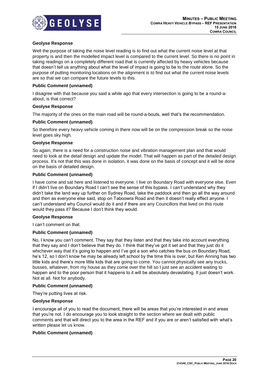

# **Geolyse Response**

Well the purpose of taking the noise level reading is to find out what the current noise level at that property is and then the modelled impact level is compared to the current level. So there is no point in taking readings on a completely different road that is currently affected by heavy vehicles because that doesn't tell us anything about what the level of impact is going to be to the route alone. So the purpose of putting monitoring locations on the alignment is to find out what the current noise levels are so that we can compare the future levels to this.

# **Public Comment (unnamed)**

I disagree with that because you said a while ago that every intersection is going to be a round-aabout, is that correct?

#### **Geolyse Response**

The majority of the ones on the main road will be round-a-bouts, well that's the recommendation.

# **Public Comment (unnamed)**

So therefore every heavy vehicle coming in there now will be on the compression break so the noise level goes sky high.

#### **Geolyse Response**

So again, there is a need for a construction noise and vibration management plan and that would need to look at the detail design and update the model. That will happen as part of the detailed design process. It's not that this was done in isolation, it was done on the basis of concept and it will be done on the basis of detailed design.

# **Public Comment (unnamed)**

I have come and sat here and listened to everyone. I live on Boundary Road with everyone else. Even if I didn't live on Boundary Road I can't see the sense of this bypass. I can't understand why they didn't take the land way up further on Sydney Road, take the paddock and then go all the way around and then as everyone else said, stop on Taboowra Road and then it doesn't really effect anyone. I can't understand why Council would do it and if there are any Councillors that lived on this route would they pass it? Because I don't think they would.

#### **Geolyse Response**

I can't comment on that.

# **Public Comment (unnamed)**

No, I know you can't comment. They say that they listen and that they take into account everything that they say and I don't believe that they do. I think that they've got it set and that they just do it whichever way that it's going to happen and I've got a son who catches the bus on Boundary Road, he's 12, so I don't know he may be already left school by the time this is over, but Ken Anning has two little kids and there's more little kids that are going to come. You cannot physically see any trucks, busses, whatever, from my house as they come over the hill so I just see an accident waiting to happen and to the poor person that it happens to it will be absolutely devastating. It just doesn't work. Not at all. Not for anybody.

#### **Public Comment (unnamed)**

They're putting lives at risk.

#### **Geolyse Response**

I encourage all of you to read the document, there will be areas that you're interested in and areas that you're not. I do encourage you to look straight to the section where we dealt with public comments and that will direct you to the area in the REF and if you are or aren't satisfied with what's written please let us know.

# **Public Comment (unnamed)**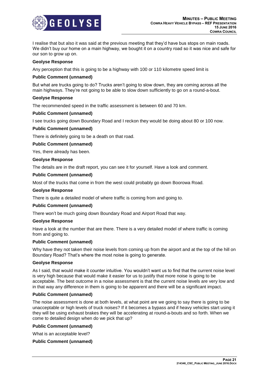

I realise that but also it was said at the previous meeting that they'd have bus stops on main roads. We didn't buy our home on a main highway, we bought it on a country road so it was nice and safe for our son to grow up on.

#### **Geolyse Response**

Any perception that this is going to be a highway with 100 or 110 kilometre speed limit is

# **Public Comment (unnamed)**

But what are trucks going to do? Trucks aren't going to slow down, they are coming across all the main highways. They're not going to be able to slow down sufficiently to go on a round-a-bout.

# **Geolyse Response**

The recommended speed in the traffic assessment is between 60 and 70 km.

# **Public Comment (unnamed)**

I see trucks going down Boundary Road and I reckon they would be doing about 80 or 100 now.

#### **Public Comment (unnamed)**

There is definitely going to be a death on that road.

#### **Public Comment (unnamed)**

Yes, there already has been.

#### **Geolyse Response**

The details are in the draft report, you can see it for yourself. Have a look and comment.

# **Public Comment (unnamed)**

Most of the trucks that come in from the west could probably go down Boorowa Road.

#### **Geolyse Response**

There is quite a detailed model of where traffic is coming from and going to.

#### **Public Comment (unnamed)**

There won't be much going down Boundary Road and Airport Road that way.

# **Geolyse Response**

Have a look at the number that are there. There is a very detailed model of where traffic is coming from and going to.

#### **Public Comment (unnamed)**

Why have they not taken their noise levels from coming up from the airport and at the top of the hill on Boundary Road? That's where the most noise is going to generate.

#### **Geolyse Response**

As I said, that would make it counter intuitive. You wouldn't want us to find that the current noise level is very high because that would make it easier for us to justify that more noise is going to be acceptable. The best outcome in a noise assessment is that the current noise levels are very low and in that way any difference in them is going to be apparent and there will be a significant impact.

#### **Public Comment (unnamed)**

The noise assessment is done at both levels, at what point are we going to say there is going to be unacceptable or high levels of truck noises? If it becomes a bypass and if heavy vehicles start using it they will be using exhaust brakes they will be accelerating at round-a-bouts and so forth. When we come to detailed design when do we pick that up?

#### **Public Comment (unnamed)**

What is an acceptable level?

# **Public Comment (unnamed)**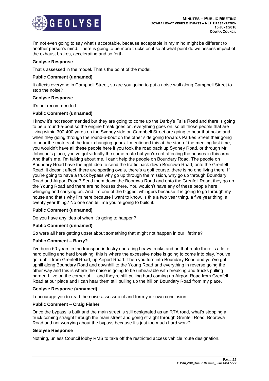

I'm not even going to say what's acceptable, because acceptable in my mind might be different to another person's mind. There is going to be more trucks on it so at what point do we assess impact of the exhaust brakes, accelerating and so forth.

#### **Geolyse Response**

That's assessed in the model. That's the point of the model.

# **Public Comment (unnamed)**

It affects everyone in Campbell Street, so are you going to put a noise wall along Campbell Street to stop the noise?

# **Geolyse Response**

It's not recommended.

# **Public Comment (unnamed)**

I know it's not recommended but they are going to come up the Darby's Falls Road and there is going to be a round-a-bout so the engine break goes on, everything goes on, so all those people that are living within 300-400 yards on the Sydney side on Campbell Street are going to hear that noise and when they going through the round-a-bout on the other side going towards Parkes Street their going to hear the motors of the truck changing gears. I mentioned this at the start of the meeting last time, you wouldn't have all these people here if you took the road back up Sydney Road, or through Mr Johnson's place, you've got virtually the same route but you're not affecting the houses in this area. And that's me, I'm talking about me. I can't help the people on Boundary Road. The people on Boundary Road have the right idea to send the traffic back down Boorowa Road, onto the Grenfell Road, it doesn't affect, there are sporting ovals, there's a golf course, there is no one living there. If you're going to have a truck bypass why go up through the mission, why go up through Boundary Road and Airport Road? Send them down the Boorowa Road and onto the Grenfell Road, they go up the Young Road and there are no houses there. You wouldn't have any of these people here whinging and carrying on. And I'm one of the biggest whingers because it is going to go through my house and that's why I'm here because I want to know, is this a two year thing, a five year thing, a twenty year thing? No one can tell me you're going to build it.

# **Public Comment (unnamed)**

Do you have any idea of when it's going to happen?

# **Public Comment (unnamed)**

So were all here getting upset about something that might not happen in our lifetime?

# **Public Comment – Barry?**

I've been 50 years in the transport industry operating heavy trucks and on that route there is a lot of hard pulling and hard breaking, this is where the excessive noise is going to come into play. You've got uphill from Grenfell Road, up Airport Road. Then you turn into Boundary Road and you've got uphill along Boundary Road and downhill to the Young Road and everything in reverse going the other way and this is where the noise is going to be unbearable with breaking and trucks pulling harder. I live on the corner of ... and they're still pulling hard coming up Airport Road from Grenfell Road at our place and I can hear them still pulling up the hill on Boundary Road from my place.

#### **Geolyse Response (unnamed)**

I encourage you to read the noise assessment and form your own conclusion.

# **Public Comment – Craig Fisher**

Once the bypass is built and the main street is still designated as an RTA road, what's stopping a truck coming straight through the main street and going straight through Grenfell Road, Boorowa Road and not worrying about the bypass because it's just too much hard work?

#### **Geolyse Response**

Nothing, unless Council lobby RMS to take off the restricted access vehicle route designation.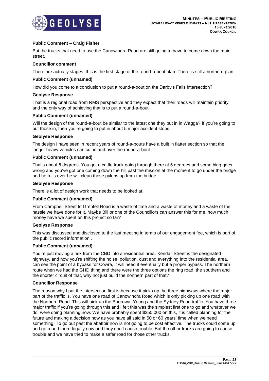

# **Public Comment – Craig Fisher**

But the trucks that need to use the Canowindra Road are still going to have to come down the main street.

# **Councillor comment**

There are actually stages, this is the first stage of the round-a-bout plan. There is still a northern plan.

# **Public Comment (unnamed)**

How did you come to a conclusion to put a round-a-bout on the Darby's Falls intersection?

#### **Geolyse Response**

That is a regional road from RMS perspective and they expect that their roads will maintain priority and the only way of achieving that is to put a round-a-bout.

#### **Public Comment (unnamed)**

Will the design of the round-a-bout be similar to the latest one they put in in Wagga? If you're going to put those in, then you're going to put in about 5 major accident stops.

#### **Geolyse Response**

The design I have seen in recent years of round-a-bouts have a built in flatter section so that the longer heavy vehicles can cut in and over the round-a-bout.

#### **Public Comment (unnamed)**

That's about 5 degrees. You get a cattle truck going through there at 5 degrees and something goes wrong and you've got one coming down the hill past the mission at the moment to go under the bridge and he rolls over he will clean those pylons up from the bridge.

# **Geolyse Response**

There is a lot of design work that needs to be looked at.

#### **Public Comment (unnamed)**

From Campbell Street to Grenfell Road is a waste of time and a waste of money and a waste of the hassle we have done for it. Maybe Bill or one of the Councillors can answer this for me, how much money have we spent on this project so far?

#### **Geolyse Response**

This was discussed and disclosed to the last meeting in terms of our engagement fee, which is part of the public record information .

#### **Public Comment (unnamed)**

You're just moving a risk from the CBD into a residential area. Kendall Street is the designated highway, and now you're shifting the noise, pollution, dust and everything into the residential area. I can see the point of a bypass for Cowra, it will need it eventually but a proper bypass. The northern route when we had the GHD thing and there were the three options the ring road, the southern and the shorter circuit of that, why not just build the northern part of that?

#### **Councillor Response**

The reason why I put the intersection first is because it picks up the three highways where the major part of the traffic is. You have one road of Canowindra Road which is only picking up one road with the Northern Road. This will pick up the Boorowa, Young and the Sydney Road traffic. You have three major traffic if you're going through this and I felt this was the simplest first one to go and whatever we do, were doing planning now. We have probably spent \$250,000 on this, it is called planning for the future and making a decision now as you have all said in 50 or 60 years' time when we need something. To go out past the abattoir now is not going to be cost effective. The trucks could come up and go round there legally now and they don't cause trouble. But the other trucks are going to cause trouble and we have tried to make a safer road for those other trucks.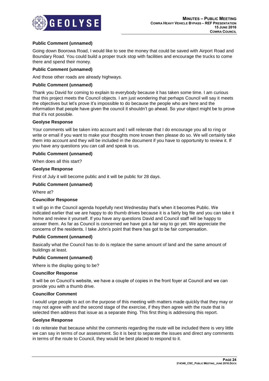

# **Public Comment (unnamed)**

Going down Boorowa Road, I would like to see the money that could be saved with Airport Road and Boundary Road. You could build a proper truck stop with facilities and encourage the trucks to come there and spend their money.

# **Public Comment (unnamed)**

And those other roads are already highways.

# **Public Comment (unnamed)**

Thank you David for coming to explain to everybody because it has taken some time. I am curious that this project meets the Council objects. I am just wondering that perhaps Council will say it meets the objectives but let's prove it's impossible to do because the people who are here and the information that people have given the council it shouldn't go ahead. So your object might be to prove that it's not possible.

#### **Geolyse Response**

Your comments will be taken into account and I will reiterate that I do encourage you all to ring or write or email if you want to make your thoughts more known then please do so. We will certainly take them into account and they will be included in the document if you have to opportunity to review it. If you have any questions you can call and speak to us.

# **Public Comment (unnamed)**

When does all this start?

#### **Geolyse Response**

First of July it will become public and it will be public for 28 days.

# **Public Comment (unnamed)**

Where at?

#### **Councillor Response**

It will go in the Council agenda hopefully next Wednesday that's when it becomes Public. We indicated earlier that we are happy to do thumb drives because it is a fairly big file and you can take it home and review it yourself. If you have any questions David and Council staff will be happy to answer them. As far as Council is concerned we have got a fair way to go yet. We appreciate the concerns of the residents. I take John's point that there has got to be fair compensation.

#### **Public Comment (unnamed)**

Basically what the Council has to do is replace the same amount of land and the same amount of buildings at least.

#### **Public Comment (unnamed)**

Where is the display going to be?

#### **Councillor Response**

It will be on Council's website, we have a couple of copies in the front foyer at Council and we can provide you with a thumb drive.

#### **Councillor Comment**

I would urge people to act on the purpose of this meeting with matters made quickly that they may or may not agree with and the second stage of the exercise, if they then agree with the route that is selected then address that issue as a separate thing. This first thing is addressing this report.

# **Geolyse Response**

I do reiterate that because whilst the comments regarding the route will be included there is very little we can say in terms of our assessment. So it is best to separate the issues and direct any comments in terms of the route to Council, they would be best placed to respond to it.